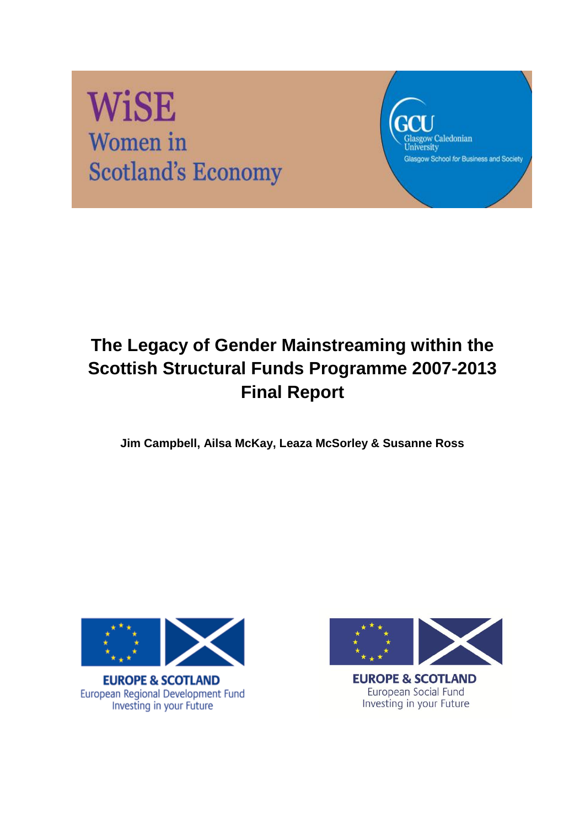# **WiSE** Women in **Scotland's Economy**

Glasgow Caledonian<br>University Glasgow School for Business and Society

# **The Legacy of Gender Mainstreaming within the Scottish Structural Funds Programme 2007-2013 Final Report**

**Jim Campbell, Ailsa McKay, Leaza McSorley & Susanne Ross**



**EUROPE & SCOTLAND** European Regional Development Fund Investing in your Future



**EUROPE & SCOTLAND** European Social Fund Investing in your Future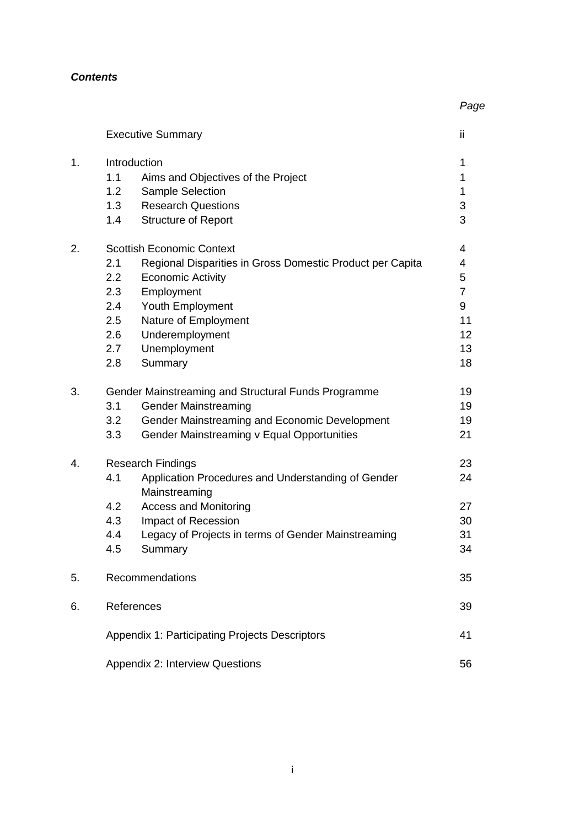#### *Contents*

|    | <b>Executive Summary</b>                                                                                                                                                                                                                                                                  | ii                                                                      |
|----|-------------------------------------------------------------------------------------------------------------------------------------------------------------------------------------------------------------------------------------------------------------------------------------------|-------------------------------------------------------------------------|
| 1. | Introduction<br>1.1<br>Aims and Objectives of the Project<br>Sample Selection<br>1.2 <sub>1</sub><br><b>Research Questions</b><br>1.3<br>1.4<br><b>Structure of Report</b>                                                                                                                | 1<br>1<br>1<br>3<br>3                                                   |
| 2. | <b>Scottish Economic Context</b><br>2.1<br>Regional Disparities in Gross Domestic Product per Capita<br><b>Economic Activity</b><br>2.2<br>2.3<br>Employment<br>2.4<br>Youth Employment<br>2.5<br>Nature of Employment<br>Underemployment<br>2.6<br>Unemployment<br>2.7<br>Summary<br>2.8 | 4<br>4<br>5<br>$\overline{7}$<br>9<br>11<br>12 <sup>2</sup><br>13<br>18 |
| 3. | Gender Mainstreaming and Structural Funds Programme<br><b>Gender Mainstreaming</b><br>3.1<br>Gender Mainstreaming and Economic Development<br>3.2<br>3.3<br>Gender Mainstreaming v Equal Opportunities                                                                                    | 19<br>19<br>19<br>21                                                    |
| 4. | <b>Research Findings</b><br>Application Procedures and Understanding of Gender<br>4.1<br>Mainstreaming<br><b>Access and Monitoring</b><br>4.2<br>4.3<br>Impact of Recession<br>4.4<br>Legacy of Projects in terms of Gender Mainstreaming<br>Summary<br>4.5                               | 23<br>24<br>27<br>30<br>31<br>34                                        |
| 5. | Recommendations                                                                                                                                                                                                                                                                           | 35                                                                      |
| 6. | References                                                                                                                                                                                                                                                                                | 39                                                                      |
|    | Appendix 1: Participating Projects Descriptors                                                                                                                                                                                                                                            | 41                                                                      |
|    | Appendix 2: Interview Questions                                                                                                                                                                                                                                                           | 56                                                                      |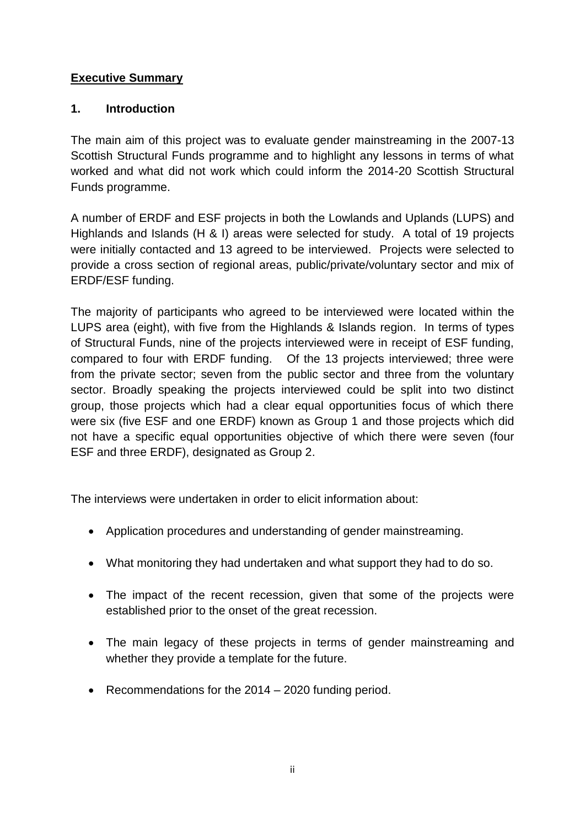# **Executive Summary**

# **1. Introduction**

The main aim of this project was to evaluate gender mainstreaming in the 2007-13 Scottish Structural Funds programme and to highlight any lessons in terms of what worked and what did not work which could inform the 2014-20 Scottish Structural Funds programme.

A number of ERDF and ESF projects in both the Lowlands and Uplands (LUPS) and Highlands and Islands (H & I) areas were selected for study. A total of 19 projects were initially contacted and 13 agreed to be interviewed. Projects were selected to provide a cross section of regional areas, public/private/voluntary sector and mix of ERDF/ESF funding.

The majority of participants who agreed to be interviewed were located within the LUPS area (eight), with five from the Highlands & Islands region. In terms of types of Structural Funds, nine of the projects interviewed were in receipt of ESF funding, compared to four with ERDF funding. Of the 13 projects interviewed; three were from the private sector; seven from the public sector and three from the voluntary sector. Broadly speaking the projects interviewed could be split into two distinct group, those projects which had a clear equal opportunities focus of which there were six (five ESF and one ERDF) known as Group 1 and those projects which did not have a specific equal opportunities objective of which there were seven (four ESF and three ERDF), designated as Group 2.

The interviews were undertaken in order to elicit information about:

- Application procedures and understanding of gender mainstreaming.
- What monitoring they had undertaken and what support they had to do so.
- The impact of the recent recession, given that some of the projects were established prior to the onset of the great recession.
- The main legacy of these projects in terms of gender mainstreaming and whether they provide a template for the future.
- Recommendations for the 2014 2020 funding period.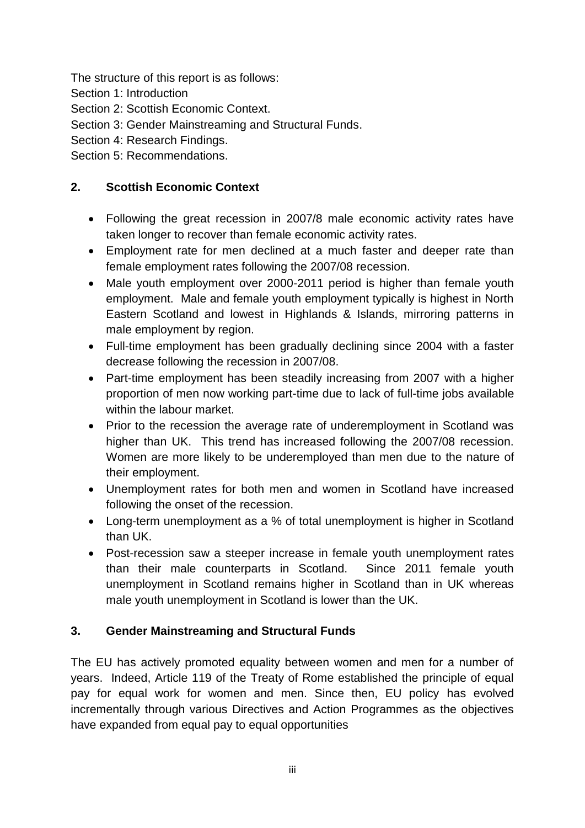The structure of this report is as follows:

- Section 1: Introduction
- Section 2: Scottish Economic Context.
- Section 3: Gender Mainstreaming and Structural Funds.
- Section 4: Research Findings.

Section 5: Recommendations.

# **2. Scottish Economic Context**

- Following the great recession in 2007/8 male economic activity rates have taken longer to recover than female economic activity rates.
- Employment rate for men declined at a much faster and deeper rate than female employment rates following the 2007/08 recession.
- Male youth employment over 2000-2011 period is higher than female youth employment. Male and female youth employment typically is highest in North Eastern Scotland and lowest in Highlands & Islands, mirroring patterns in male employment by region.
- Full-time employment has been gradually declining since 2004 with a faster decrease following the recession in 2007/08.
- Part-time employment has been steadily increasing from 2007 with a higher proportion of men now working part-time due to lack of full-time jobs available within the labour market.
- Prior to the recession the average rate of underemployment in Scotland was higher than UK. This trend has increased following the 2007/08 recession. Women are more likely to be underemployed than men due to the nature of their employment.
- Unemployment rates for both men and women in Scotland have increased following the onset of the recession.
- Long-term unemployment as a % of total unemployment is higher in Scotland than UK.
- Post-recession saw a steeper increase in female youth unemployment rates than their male counterparts in Scotland. Since 2011 female youth unemployment in Scotland remains higher in Scotland than in UK whereas male youth unemployment in Scotland is lower than the UK.

# **3. Gender Mainstreaming and Structural Funds**

The EU has actively promoted equality between women and men for a number of years. Indeed, Article 119 of the Treaty of Rome established the principle of equal pay for equal work for women and men. Since then, EU policy has evolved incrementally through various Directives and Action Programmes as the objectives have expanded from equal pay to equal opportunities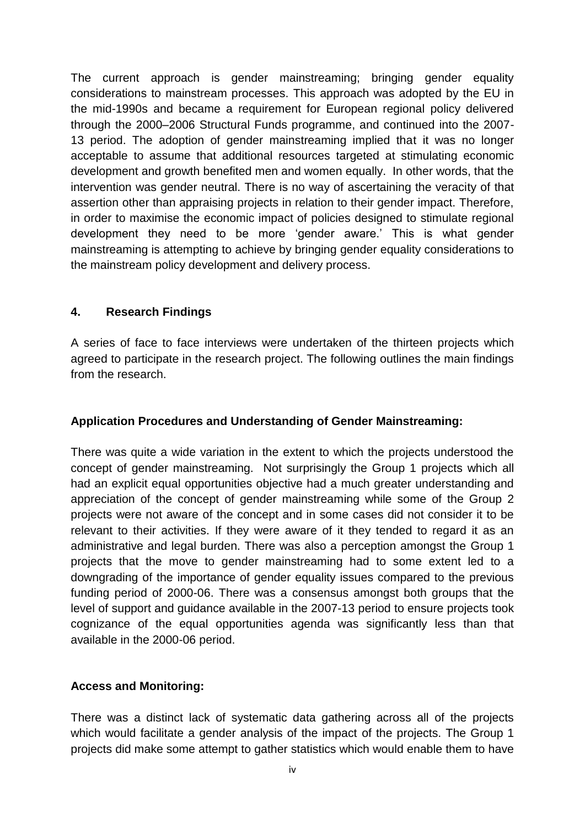The current approach is gender mainstreaming; bringing gender equality considerations to mainstream processes. This approach was adopted by the EU in the mid-1990s and became a requirement for European regional policy delivered through the 2000–2006 Structural Funds programme, and continued into the 2007- 13 period. The adoption of gender mainstreaming implied that it was no longer acceptable to assume that additional resources targeted at stimulating economic development and growth benefited men and women equally. In other words, that the intervention was gender neutral. There is no way of ascertaining the veracity of that assertion other than appraising projects in relation to their gender impact. Therefore, in order to maximise the economic impact of policies designed to stimulate regional development they need to be more 'gender aware.' This is what gender mainstreaming is attempting to achieve by bringing gender equality considerations to the mainstream policy development and delivery process.

#### **4. Research Findings**

A series of face to face interviews were undertaken of the thirteen projects which agreed to participate in the research project. The following outlines the main findings from the research.

#### **Application Procedures and Understanding of Gender Mainstreaming:**

There was quite a wide variation in the extent to which the projects understood the concept of gender mainstreaming. Not surprisingly the Group 1 projects which all had an explicit equal opportunities objective had a much greater understanding and appreciation of the concept of gender mainstreaming while some of the Group 2 projects were not aware of the concept and in some cases did not consider it to be relevant to their activities. If they were aware of it they tended to regard it as an administrative and legal burden. There was also a perception amongst the Group 1 projects that the move to gender mainstreaming had to some extent led to a downgrading of the importance of gender equality issues compared to the previous funding period of 2000-06. There was a consensus amongst both groups that the level of support and guidance available in the 2007-13 period to ensure projects took cognizance of the equal opportunities agenda was significantly less than that available in the 2000-06 period.

#### **Access and Monitoring:**

There was a distinct lack of systematic data gathering across all of the projects which would facilitate a gender analysis of the impact of the projects. The Group 1 projects did make some attempt to gather statistics which would enable them to have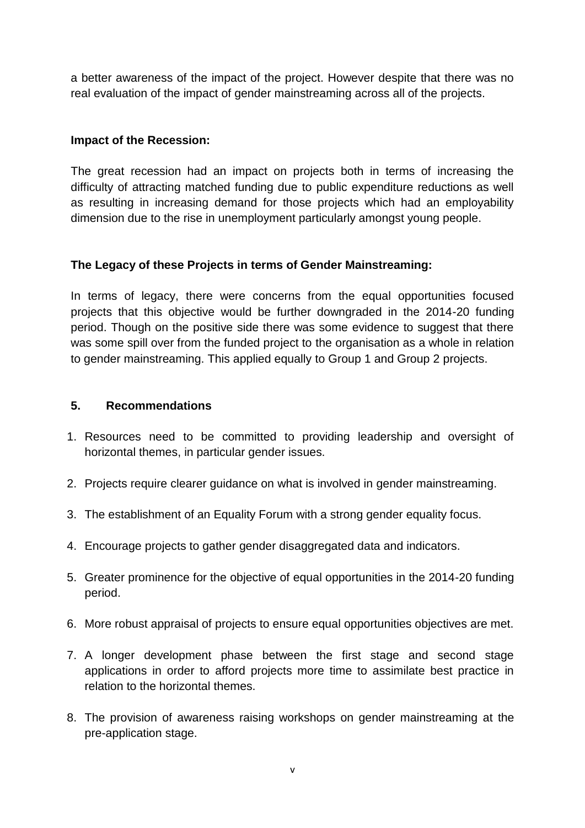a better awareness of the impact of the project. However despite that there was no real evaluation of the impact of gender mainstreaming across all of the projects.

#### **Impact of the Recession:**

The great recession had an impact on projects both in terms of increasing the difficulty of attracting matched funding due to public expenditure reductions as well as resulting in increasing demand for those projects which had an employability dimension due to the rise in unemployment particularly amongst young people.

#### **The Legacy of these Projects in terms of Gender Mainstreaming:**

In terms of legacy, there were concerns from the equal opportunities focused projects that this objective would be further downgraded in the 2014-20 funding period. Though on the positive side there was some evidence to suggest that there was some spill over from the funded project to the organisation as a whole in relation to gender mainstreaming. This applied equally to Group 1 and Group 2 projects.

#### **5. Recommendations**

- 1. Resources need to be committed to providing leadership and oversight of horizontal themes, in particular gender issues.
- 2. Projects require clearer guidance on what is involved in gender mainstreaming.
- 3. The establishment of an Equality Forum with a strong gender equality focus.
- 4. Encourage projects to gather gender disaggregated data and indicators.
- 5. Greater prominence for the objective of equal opportunities in the 2014-20 funding period.
- 6. More robust appraisal of projects to ensure equal opportunities objectives are met.
- 7. A longer development phase between the first stage and second stage applications in order to afford projects more time to assimilate best practice in relation to the horizontal themes.
- 8. The provision of awareness raising workshops on gender mainstreaming at the pre-application stage.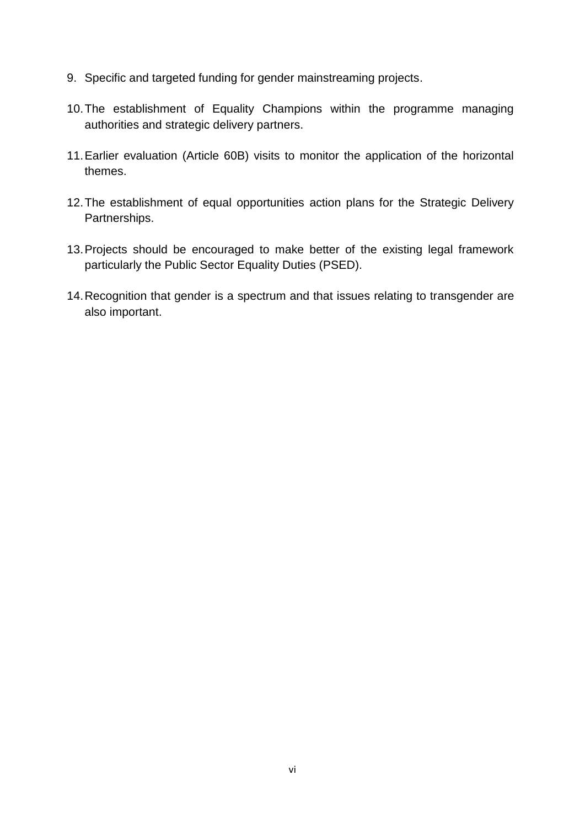- 9. Specific and targeted funding for gender mainstreaming projects.
- 10.The establishment of Equality Champions within the programme managing authorities and strategic delivery partners.
- 11.Earlier evaluation (Article 60B) visits to monitor the application of the horizontal themes.
- 12.The establishment of equal opportunities action plans for the Strategic Delivery Partnerships.
- 13.Projects should be encouraged to make better of the existing legal framework particularly the Public Sector Equality Duties (PSED).
- 14.Recognition that gender is a spectrum and that issues relating to transgender are also important.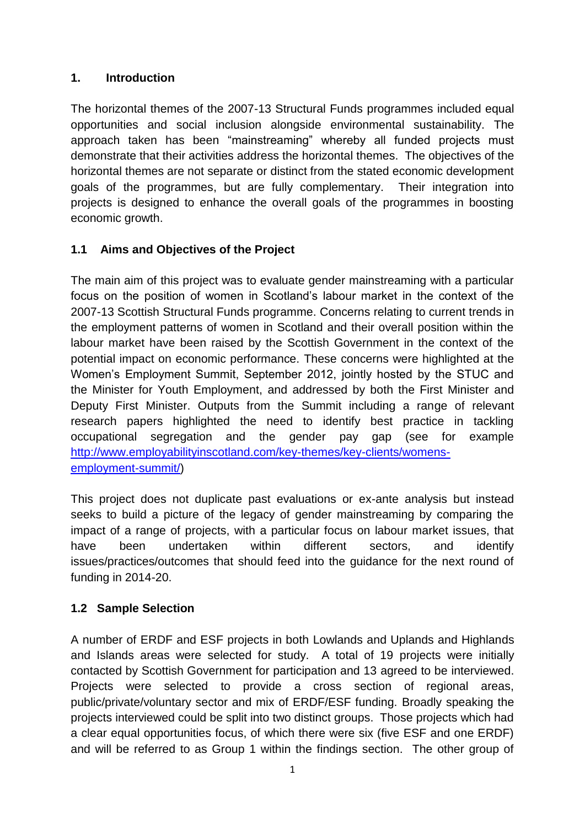# **1. Introduction**

The horizontal themes of the 2007-13 Structural Funds programmes included equal opportunities and social inclusion alongside environmental sustainability. The approach taken has been "mainstreaming" whereby all funded projects must demonstrate that their activities address the horizontal themes. The objectives of the horizontal themes are not separate or distinct from the stated economic development goals of the programmes, but are fully complementary. Their integration into projects is designed to enhance the overall goals of the programmes in boosting economic growth.

# **1.1 Aims and Objectives of the Project**

The main aim of this project was to evaluate gender mainstreaming with a particular focus on the position of women in Scotland's labour market in the context of the 2007-13 Scottish Structural Funds programme. Concerns relating to current trends in the employment patterns of women in Scotland and their overall position within the labour market have been raised by the Scottish Government in the context of the potential impact on economic performance. These concerns were highlighted at the Women's Employment Summit, September 2012, jointly hosted by the STUC and the Minister for Youth Employment, and addressed by both the First Minister and Deputy First Minister. Outputs from the Summit including a range of relevant research papers highlighted the need to identify best practice in tackling occupational segregation and the gender pay gap (see for example [http://www.employabilityinscotland.com/key-themes/key-clients/womens](http://www.employabilityinscotland.com/key-themes/key-clients/womens-employment-summit/)[employment-summit/\)](http://www.employabilityinscotland.com/key-themes/key-clients/womens-employment-summit/)

This project does not duplicate past evaluations or ex-ante analysis but instead seeks to build a picture of the legacy of gender mainstreaming by comparing the impact of a range of projects, with a particular focus on labour market issues, that have been undertaken within different sectors, and identify issues/practices/outcomes that should feed into the guidance for the next round of funding in 2014-20.

# **1.2 Sample Selection**

A number of ERDF and ESF projects in both Lowlands and Uplands and Highlands and Islands areas were selected for study. A total of 19 projects were initially contacted by Scottish Government for participation and 13 agreed to be interviewed. Projects were selected to provide a cross section of regional areas, public/private/voluntary sector and mix of ERDF/ESF funding. Broadly speaking the projects interviewed could be split into two distinct groups. Those projects which had a clear equal opportunities focus, of which there were six (five ESF and one ERDF) and will be referred to as Group 1 within the findings section. The other group of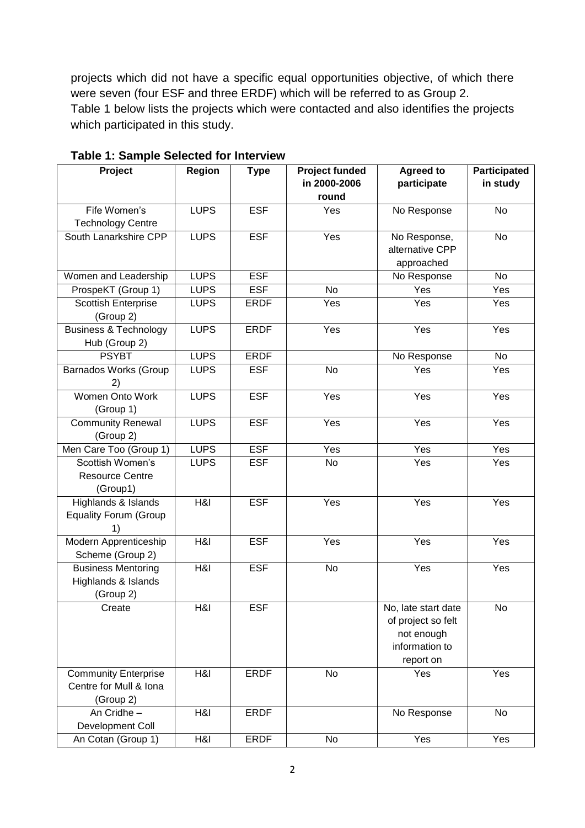projects which did not have a specific equal opportunities objective, of which there were seven (four ESF and three ERDF) which will be referred to as Group 2. Table 1 below lists the projects which were contacted and also identifies the projects which participated in this study.

| Project                          | Region      | <b>Type</b> | <b>Project funded</b> | Agreed to           | Participated |
|----------------------------------|-------------|-------------|-----------------------|---------------------|--------------|
|                                  |             |             | in 2000-2006          | participate         | in study     |
|                                  |             |             | round                 |                     |              |
| Fife Women's                     | <b>LUPS</b> | <b>ESF</b>  | Yes                   | No Response         | <b>No</b>    |
| <b>Technology Centre</b>         |             |             |                       |                     |              |
| South Lanarkshire CPP            | <b>LUPS</b> | <b>ESF</b>  | Yes                   | No Response,        | No           |
|                                  |             |             |                       | alternative CPP     |              |
|                                  |             |             |                       | approached          |              |
| Women and Leadership             | <b>LUPS</b> | <b>ESF</b>  |                       | No Response         | <b>No</b>    |
| ProspeKT (Group 1)               | <b>LUPS</b> | <b>ESF</b>  | <b>No</b>             | Yes                 | Yes          |
| <b>Scottish Enterprise</b>       | <b>LUPS</b> | <b>ERDF</b> | Yes                   | Yes                 | Yes          |
| (Group 2)                        |             |             |                       |                     |              |
| <b>Business &amp; Technology</b> | <b>LUPS</b> | <b>ERDF</b> | Yes                   | Yes                 | Yes          |
| Hub (Group 2)                    |             |             |                       |                     |              |
| <b>PSYBT</b>                     | <b>LUPS</b> | <b>ERDF</b> |                       | No Response         | No           |
| <b>Barnados Works (Group</b>     | <b>LUPS</b> | <b>ESF</b>  | No                    | Yes                 | Yes          |
|                                  |             |             |                       |                     |              |
| Women Onto Work                  | <b>LUPS</b> | <b>ESF</b>  | Yes                   | Yes                 | Yes          |
| (Group 1)                        |             |             |                       |                     |              |
| <b>Community Renewal</b>         | <b>LUPS</b> | <b>ESF</b>  | Yes                   | Yes                 | Yes          |
| (Group 2)                        |             |             |                       |                     |              |
| Men Care Too (Group 1)           | <b>LUPS</b> | <b>ESF</b>  | Yes                   | Yes                 | Yes          |
| Scottish Women's                 | <b>LUPS</b> | <b>ESF</b>  | <b>No</b>             | Yes                 | Yes          |
| <b>Resource Centre</b>           |             |             |                       |                     |              |
| (Group1)                         |             |             |                       |                     |              |
| Highlands & Islands              | H&I         | <b>ESF</b>  | Yes                   | Yes                 | Yes          |
| <b>Equality Forum (Group</b>     |             |             |                       |                     |              |
| 1)                               |             |             |                       |                     |              |
| Modern Apprenticeship            | H&I         | <b>ESF</b>  | Yes                   | Yes                 | Yes          |
| Scheme (Group 2)                 |             |             |                       |                     |              |
| <b>Business Mentoring</b>        | H&I         | <b>ESF</b>  | No                    | Yes                 | Yes          |
| Highlands & Islands              |             |             |                       |                     |              |
| (Group 2)                        |             |             |                       |                     |              |
| Create                           | H8I         | ESF         |                       | No, late start date | No.          |
|                                  |             |             |                       | of project so felt  |              |
|                                  |             |             |                       | not enough          |              |
|                                  |             |             |                       | information to      |              |
|                                  |             |             |                       | report on           |              |
| <b>Community Enterprise</b>      | H&I         | <b>ERDF</b> | No                    | Yes                 | Yes          |
| Centre for Mull & Iona           |             |             |                       |                     |              |
| (Group 2)                        |             |             |                       |                     |              |
| An Cridhe-                       | H&I         | <b>ERDF</b> |                       | No Response         | <b>No</b>    |
| Development Coll                 |             |             |                       |                     |              |
| An Cotan (Group 1)               | H&I         | <b>ERDF</b> | No                    | Yes                 | Yes          |

**Table 1: Sample Selected for Interview**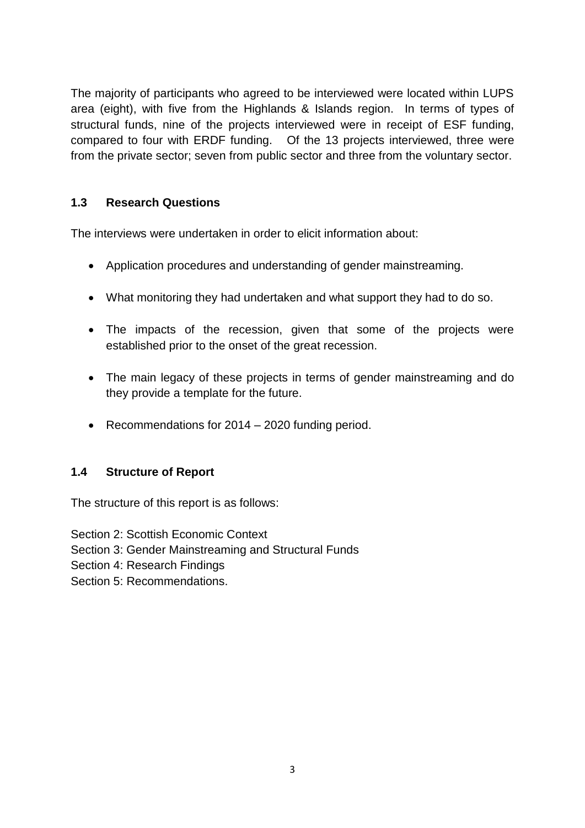The majority of participants who agreed to be interviewed were located within LUPS area (eight), with five from the Highlands & Islands region. In terms of types of structural funds, nine of the projects interviewed were in receipt of ESF funding, compared to four with ERDF funding. Of the 13 projects interviewed, three were from the private sector; seven from public sector and three from the voluntary sector.

# **1.3 Research Questions**

The interviews were undertaken in order to elicit information about:

- Application procedures and understanding of gender mainstreaming.
- What monitoring they had undertaken and what support they had to do so.
- The impacts of the recession, given that some of the projects were established prior to the onset of the great recession.
- The main legacy of these projects in terms of gender mainstreaming and do they provide a template for the future.
- Recommendations for 2014 2020 funding period.

#### **1.4 Structure of Report**

The structure of this report is as follows:

Section 2: Scottish Economic Context

Section 3: Gender Mainstreaming and Structural Funds

Section 4: Research Findings

Section 5: Recommendations.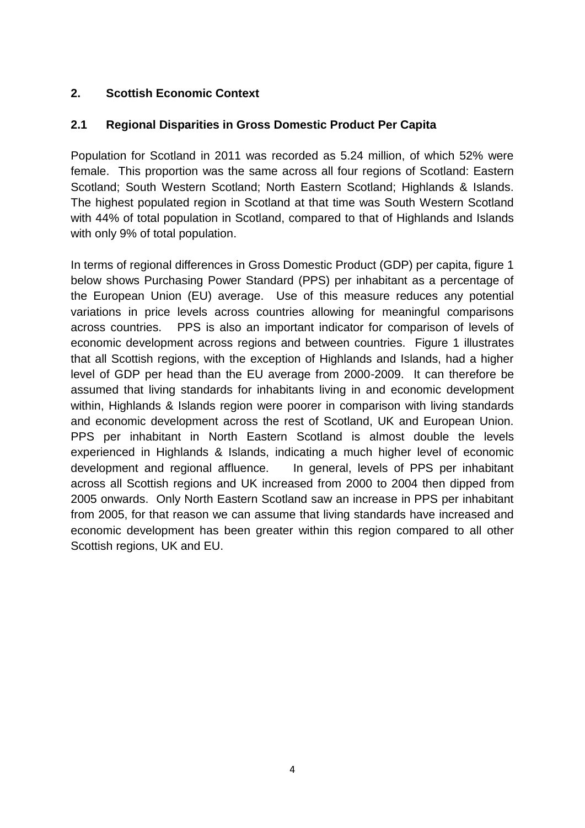# **2. Scottish Economic Context**

# **2.1 Regional Disparities in Gross Domestic Product Per Capita**

Population for Scotland in 2011 was recorded as 5.24 million, of which 52% were female. This proportion was the same across all four regions of Scotland: Eastern Scotland; South Western Scotland; North Eastern Scotland; Highlands & Islands. The highest populated region in Scotland at that time was South Western Scotland with 44% of total population in Scotland, compared to that of Highlands and Islands with only 9% of total population.

In terms of regional differences in Gross Domestic Product (GDP) per capita, figure 1 below shows Purchasing Power Standard (PPS) per inhabitant as a percentage of the European Union (EU) average. Use of this measure reduces any potential variations in price levels across countries allowing for meaningful comparisons across countries. PPS is also an important indicator for comparison of levels of economic development across regions and between countries. Figure 1 illustrates that all Scottish regions, with the exception of Highlands and Islands, had a higher level of GDP per head than the EU average from 2000-2009. It can therefore be assumed that living standards for inhabitants living in and economic development within, Highlands & Islands region were poorer in comparison with living standards and economic development across the rest of Scotland, UK and European Union. PPS per inhabitant in North Eastern Scotland is almost double the levels experienced in Highlands & Islands, indicating a much higher level of economic development and regional affluence. In general, levels of PPS per inhabitant across all Scottish regions and UK increased from 2000 to 2004 then dipped from 2005 onwards. Only North Eastern Scotland saw an increase in PPS per inhabitant from 2005, for that reason we can assume that living standards have increased and economic development has been greater within this region compared to all other Scottish regions, UK and EU.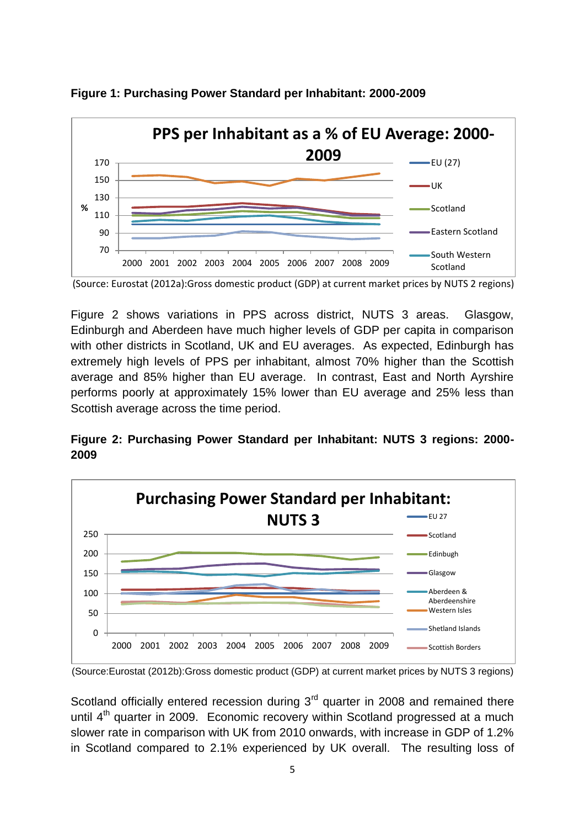

**Figure 1: Purchasing Power Standard per Inhabitant: 2000-2009**

Figure 2 shows variations in PPS across district, NUTS 3 areas. Glasgow, Edinburgh and Aberdeen have much higher levels of GDP per capita in comparison with other districts in Scotland, UK and EU averages. As expected, Edinburgh has extremely high levels of PPS per inhabitant, almost 70% higher than the Scottish average and 85% higher than EU average. In contrast, East and North Ayrshire performs poorly at approximately 15% lower than EU average and 25% less than Scottish average across the time period.

**Figure 2: Purchasing Power Standard per Inhabitant: NUTS 3 regions: 2000- 2009**



<sup>(</sup>Source:Eurostat (2012b):Gross domestic product (GDP) at current market prices by NUTS 3 regions)

Scotland officially entered recession during  $3<sup>rd</sup>$  quarter in 2008 and remained there until  $4<sup>th</sup>$  quarter in 2009. Economic recovery within Scotland progressed at a much slower rate in comparison with UK from 2010 onwards, with increase in GDP of 1.2% in Scotland compared to 2.1% experienced by UK overall. The resulting loss of

<sup>(</sup>Source: Eurostat (2012a):Gross domestic product (GDP) at current market prices by NUTS 2 regions)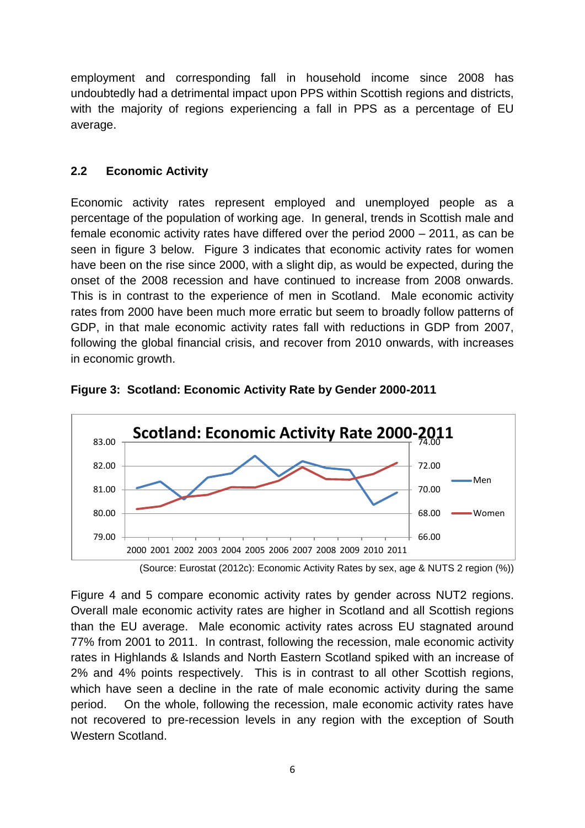employment and corresponding fall in household income since 2008 has undoubtedly had a detrimental impact upon PPS within Scottish regions and districts, with the majority of regions experiencing a fall in PPS as a percentage of EU average.

#### **2.2 Economic Activity**

Economic activity rates represent employed and unemployed people as a percentage of the population of working age. In general, trends in Scottish male and female economic activity rates have differed over the period 2000 – 2011, as can be seen in figure 3 below. Figure 3 indicates that economic activity rates for women have been on the rise since 2000, with a slight dip, as would be expected, during the onset of the 2008 recession and have continued to increase from 2008 onwards. This is in contrast to the experience of men in Scotland. Male economic activity rates from 2000 have been much more erratic but seem to broadly follow patterns of GDP, in that male economic activity rates fall with reductions in GDP from 2007, following the global financial crisis, and recover from 2010 onwards, with increases in economic growth.



**Figure 3: Scotland: Economic Activity Rate by Gender 2000-2011**

Figure 4 and 5 compare economic activity rates by gender across NUT2 regions. Overall male economic activity rates are higher in Scotland and all Scottish regions than the EU average. Male economic activity rates across EU stagnated around 77% from 2001 to 2011. In contrast, following the recession, male economic activity rates in Highlands & Islands and North Eastern Scotland spiked with an increase of 2% and 4% points respectively. This is in contrast to all other Scottish regions, which have seen a decline in the rate of male economic activity during the same period. On the whole, following the recession, male economic activity rates have not recovered to pre-recession levels in any region with the exception of South Western Scotland.

<sup>(</sup>Source: Eurostat (2012c): Economic Activity Rates by sex, age & NUTS 2 region (%))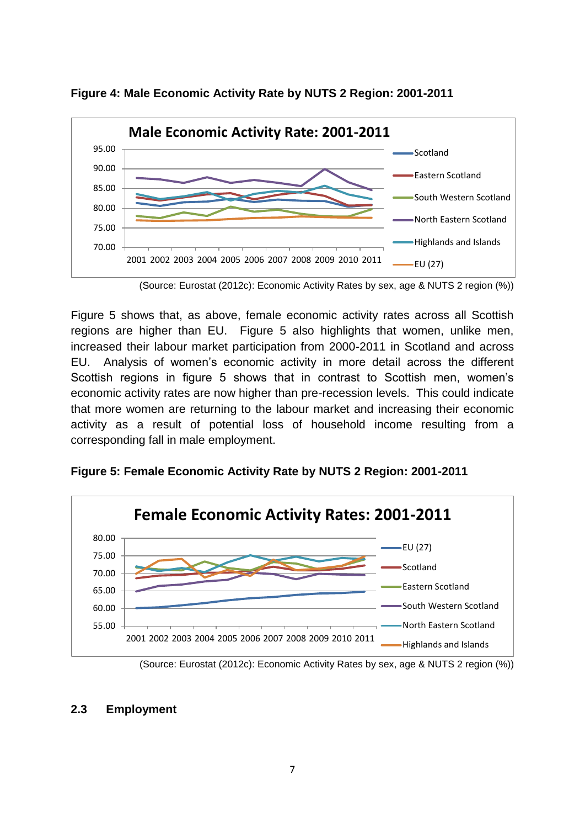

**Figure 4: Male Economic Activity Rate by NUTS 2 Region: 2001-2011**

(Source: Eurostat (2012c): Economic Activity Rates by sex, age & NUTS 2 region (%))

Figure 5 shows that, as above, female economic activity rates across all Scottish regions are higher than EU. Figure 5 also highlights that women, unlike men, increased their labour market participation from 2000-2011 in Scotland and across EU. Analysis of women's economic activity in more detail across the different Scottish regions in figure 5 shows that in contrast to Scottish men, women's economic activity rates are now higher than pre-recession levels. This could indicate that more women are returning to the labour market and increasing their economic activity as a result of potential loss of household income resulting from a corresponding fall in male employment.



**Figure 5: Female Economic Activity Rate by NUTS 2 Region: 2001-2011**

# **2.3 Employment**

<sup>(</sup>Source: Eurostat (2012c): Economic Activity Rates by sex, age & NUTS 2 region (%))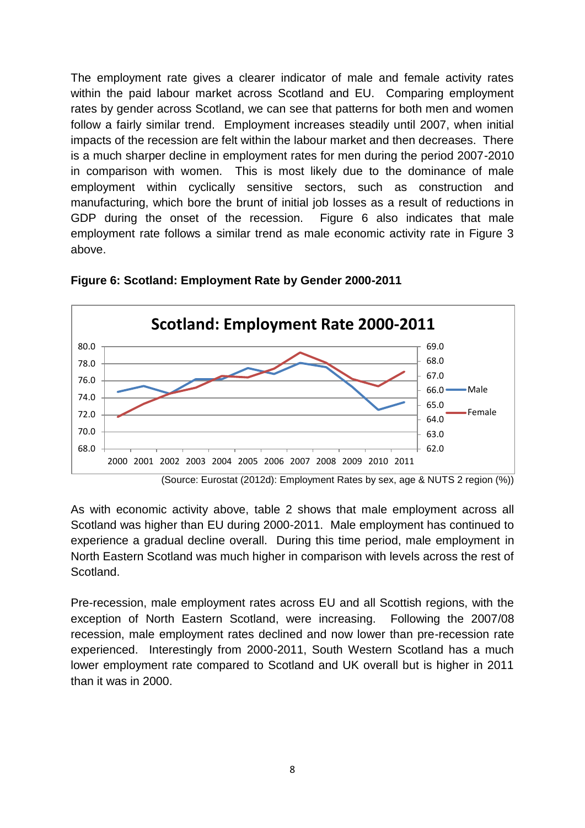The employment rate gives a clearer indicator of male and female activity rates within the paid labour market across Scotland and EU. Comparing employment rates by gender across Scotland, we can see that patterns for both men and women follow a fairly similar trend. Employment increases steadily until 2007, when initial impacts of the recession are felt within the labour market and then decreases. There is a much sharper decline in employment rates for men during the period 2007-2010 in comparison with women. This is most likely due to the dominance of male employment within cyclically sensitive sectors, such as construction and manufacturing, which bore the brunt of initial job losses as a result of reductions in GDP during the onset of the recession. Figure 6 also indicates that male employment rate follows a similar trend as male economic activity rate in Figure 3 above.



**Figure 6: Scotland: Employment Rate by Gender 2000-2011**

As with economic activity above, table 2 shows that male employment across all Scotland was higher than EU during 2000-2011. Male employment has continued to experience a gradual decline overall. During this time period, male employment in North Eastern Scotland was much higher in comparison with levels across the rest of Scotland.

Pre-recession, male employment rates across EU and all Scottish regions, with the exception of North Eastern Scotland, were increasing. Following the 2007/08 recession, male employment rates declined and now lower than pre-recession rate experienced. Interestingly from 2000-2011, South Western Scotland has a much lower employment rate compared to Scotland and UK overall but is higher in 2011 than it was in 2000.

 <sup>(</sup>Source: Eurostat (2012d): Employment Rates by sex, age & NUTS 2 region (%))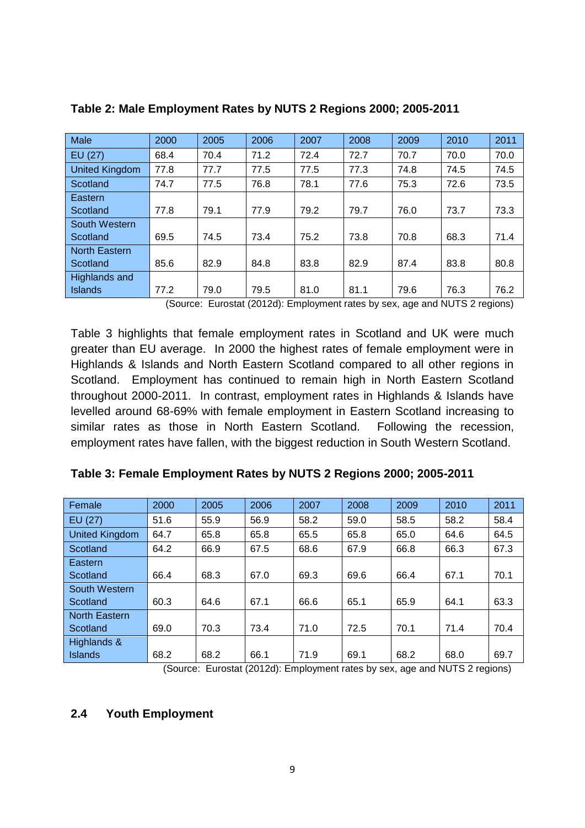| Male                 | 2000 | 2005 | 2006 | 2007 | 2008 | 2009 | 2010 | 2011 |
|----------------------|------|------|------|------|------|------|------|------|
| EU (27)              | 68.4 | 70.4 | 71.2 | 72.4 | 72.7 | 70.7 | 70.0 | 70.0 |
| United Kingdom       | 77.8 | 77.7 | 77.5 | 77.5 | 77.3 | 74.8 | 74.5 | 74.5 |
| Scotland             | 74.7 | 77.5 | 76.8 | 78.1 | 77.6 | 75.3 | 72.6 | 73.5 |
| Eastern              |      |      |      |      |      |      |      |      |
| Scotland             | 77.8 | 79.1 | 77.9 | 79.2 | 79.7 | 76.0 | 73.7 | 73.3 |
| South Western        |      |      |      |      |      |      |      |      |
| Scotland             | 69.5 | 74.5 | 73.4 | 75.2 | 73.8 | 70.8 | 68.3 | 71.4 |
| <b>North Eastern</b> |      |      |      |      |      |      |      |      |
| Scotland             | 85.6 | 82.9 | 84.8 | 83.8 | 82.9 | 87.4 | 83.8 | 80.8 |
| Highlands and        |      |      |      |      |      |      |      |      |
| <b>Islands</b>       | 77.2 | 79.0 | 79.5 | 81.0 | 81.1 | 79.6 | 76.3 | 76.2 |

#### **Table 2: Male Employment Rates by NUTS 2 Regions 2000; 2005-2011**

(Source: Eurostat (2012d): Employment rates by sex, age and NUTS 2 regions)

Table 3 highlights that female employment rates in Scotland and UK were much greater than EU average. In 2000 the highest rates of female employment were in Highlands & Islands and North Eastern Scotland compared to all other regions in Scotland. Employment has continued to remain high in North Eastern Scotland throughout 2000-2011. In contrast, employment rates in Highlands & Islands have levelled around 68-69% with female employment in Eastern Scotland increasing to similar rates as those in North Eastern Scotland. Following the recession, employment rates have fallen, with the biggest reduction in South Western Scotland.

| Female                | 2000 | 2005 | 2006 | 2007 | 2008 | 2009 | 2010 | 2011 |
|-----------------------|------|------|------|------|------|------|------|------|
| EU (27)               | 51.6 | 55.9 | 56.9 | 58.2 | 59.0 | 58.5 | 58.2 | 58.4 |
| <b>United Kingdom</b> | 64.7 | 65.8 | 65.8 | 65.5 | 65.8 | 65.0 | 64.6 | 64.5 |
| Scotland              | 64.2 | 66.9 | 67.5 | 68.6 | 67.9 | 66.8 | 66.3 | 67.3 |
| Eastern               |      |      |      |      |      |      |      |      |
| Scotland              | 66.4 | 68.3 | 67.0 | 69.3 | 69.6 | 66.4 | 67.1 | 70.1 |
| South Western         |      |      |      |      |      |      |      |      |
| Scotland              | 60.3 | 64.6 | 67.1 | 66.6 | 65.1 | 65.9 | 64.1 | 63.3 |
| <b>North Eastern</b>  |      |      |      |      |      |      |      |      |
| Scotland              | 69.0 | 70.3 | 73.4 | 71.0 | 72.5 | 70.1 | 71.4 | 70.4 |
| Highlands &           |      |      |      |      |      |      |      |      |
| Islands               | 68.2 | 68.2 | 66.1 | 71.9 | 69.1 | 68.2 | 68.0 | 69.7 |

(Source: Eurostat (2012d): Employment rates by sex, age and NUTS 2 regions)

#### **2.4 Youth Employment**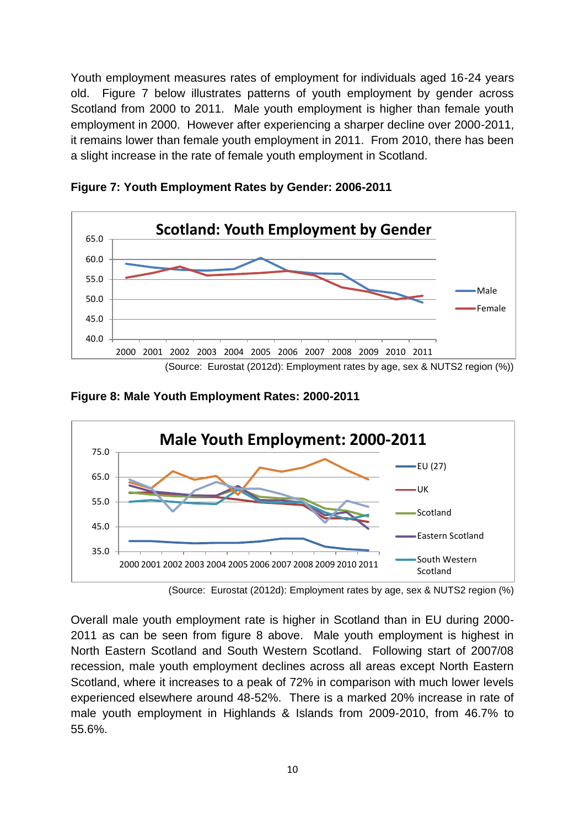Youth employment measures rates of employment for individuals aged 16-24 years old. Figure 7 below illustrates patterns of youth employment by gender across Scotland from 2000 to 2011. Male youth employment is higher than female youth employment in 2000. However after experiencing a sharper decline over 2000-2011, it remains lower than female youth employment in 2011. From 2010, there has been a slight increase in the rate of female youth employment in Scotland.



**Figure 7: Youth Employment Rates by Gender: 2006-2011**

**Figure 8: Male Youth Employment Rates: 2000-2011**



<sup>(</sup>Source: Eurostat (2012d): Employment rates by age, sex & NUTS2 region (%)

Overall male youth employment rate is higher in Scotland than in EU during 2000- 2011 as can be seen from figure 8 above. Male youth employment is highest in North Eastern Scotland and South Western Scotland. Following start of 2007/08 recession, male youth employment declines across all areas except North Eastern Scotland, where it increases to a peak of 72% in comparison with much lower levels experienced elsewhere around 48-52%. There is a marked 20% increase in rate of male youth employment in Highlands & Islands from 2009-2010, from 46.7% to 55.6%.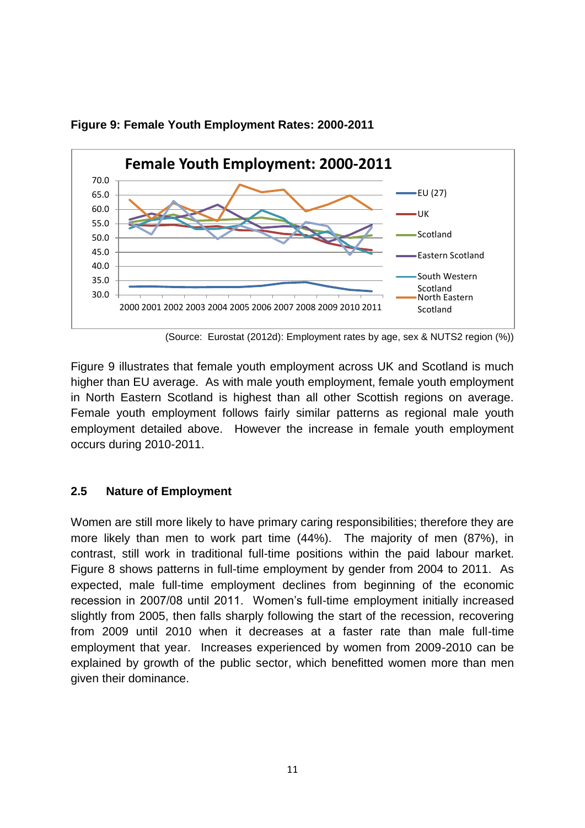

**Figure 9: Female Youth Employment Rates: 2000-2011**

Figure 9 illustrates that female youth employment across UK and Scotland is much higher than EU average. As with male youth employment, female youth employment in North Eastern Scotland is highest than all other Scottish regions on average. Female youth employment follows fairly similar patterns as regional male youth employment detailed above. However the increase in female youth employment occurs during 2010-2011.

#### **2.5 Nature of Employment**

Women are still more likely to have primary caring responsibilities; therefore they are more likely than men to work part time (44%). The majority of men (87%), in contrast, still work in traditional full-time positions within the paid labour market. Figure 8 shows patterns in full-time employment by gender from 2004 to 2011. As expected, male full-time employment declines from beginning of the economic recession in 2007/08 until 2011. Women's full-time employment initially increased slightly from 2005, then falls sharply following the start of the recession, recovering from 2009 until 2010 when it decreases at a faster rate than male full-time employment that year. Increases experienced by women from 2009-2010 can be explained by growth of the public sector, which benefitted women more than men given their dominance.

<sup>(</sup>Source: Eurostat (2012d): Employment rates by age, sex & NUTS2 region (%))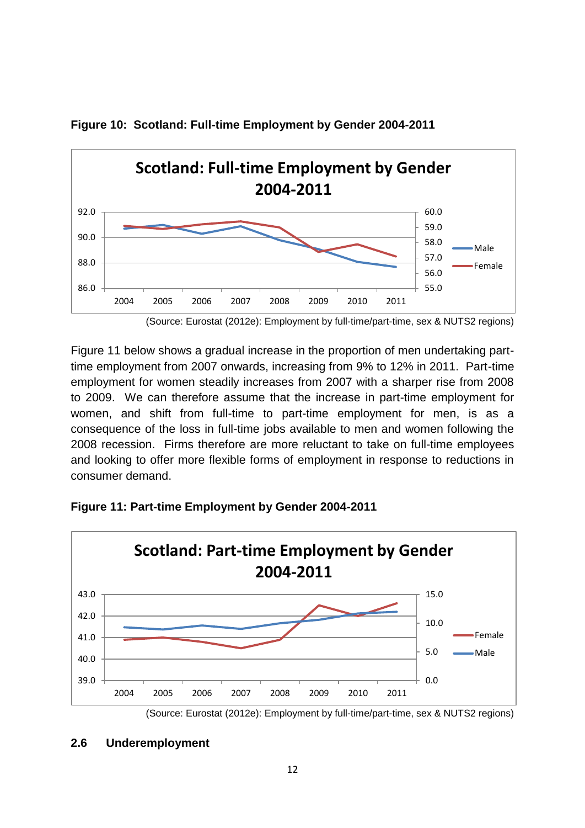

**Figure 10: Scotland: Full-time Employment by Gender 2004-2011**

Figure 11 below shows a gradual increase in the proportion of men undertaking parttime employment from 2007 onwards, increasing from 9% to 12% in 2011. Part-time employment for women steadily increases from 2007 with a sharper rise from 2008 to 2009. We can therefore assume that the increase in part-time employment for women, and shift from full-time to part-time employment for men, is as a consequence of the loss in full-time jobs available to men and women following the 2008 recession. Firms therefore are more reluctant to take on full-time employees and looking to offer more flexible forms of employment in response to reductions in consumer demand.



**Figure 11: Part-time Employment by Gender 2004-2011**

 <sup>(</sup>Source: Eurostat (2012e): Employment by full-time/part-time, sex & NUTS2 regions)

**<sup>2.6</sup> Underemployment**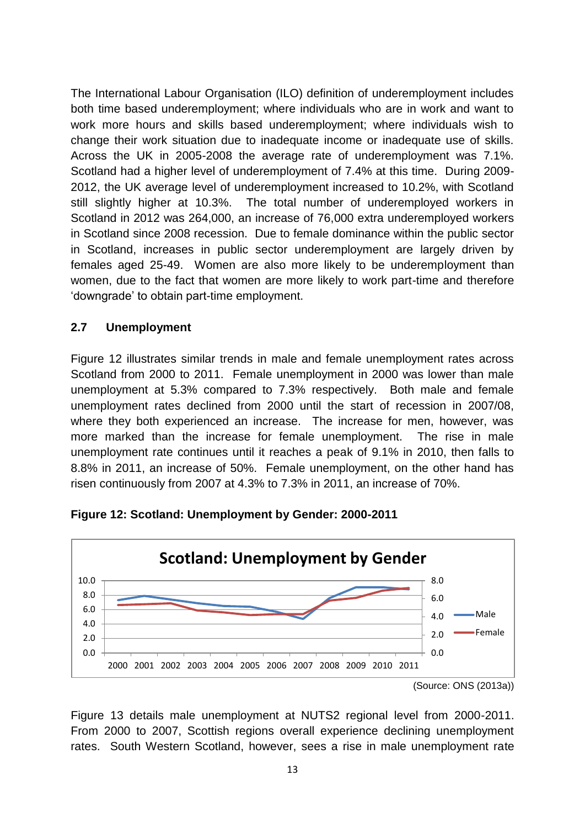The International Labour Organisation (ILO) definition of underemployment includes both time based underemployment; where individuals who are in work and want to work more hours and skills based underemployment; where individuals wish to change their work situation due to inadequate income or inadequate use of skills. Across the UK in 2005-2008 the average rate of underemployment was 7.1%. Scotland had a higher level of underemployment of 7.4% at this time. During 2009- 2012, the UK average level of underemployment increased to 10.2%, with Scotland still slightly higher at 10.3%. The total number of underemployed workers in Scotland in 2012 was 264,000, an increase of 76,000 extra underemployed workers in Scotland since 2008 recession. Due to female dominance within the public sector in Scotland, increases in public sector underemployment are largely driven by females aged 25-49. Women are also more likely to be underemployment than women, due to the fact that women are more likely to work part-time and therefore 'downgrade' to obtain part-time employment.

#### **2.7 Unemployment**

Figure 12 illustrates similar trends in male and female unemployment rates across Scotland from 2000 to 2011. Female unemployment in 2000 was lower than male unemployment at 5.3% compared to 7.3% respectively. Both male and female unemployment rates declined from 2000 until the start of recession in 2007/08, where they both experienced an increase. The increase for men, however, was more marked than the increase for female unemployment. The rise in male unemployment rate continues until it reaches a peak of 9.1% in 2010, then falls to 8.8% in 2011, an increase of 50%. Female unemployment, on the other hand has risen continuously from 2007 at 4.3% to 7.3% in 2011, an increase of 70%.



**Figure 12: Scotland: Unemployment by Gender: 2000-2011**

Figure 13 details male unemployment at NUTS2 regional level from 2000-2011. From 2000 to 2007, Scottish regions overall experience declining unemployment rates. South Western Scotland, however, sees a rise in male unemployment rate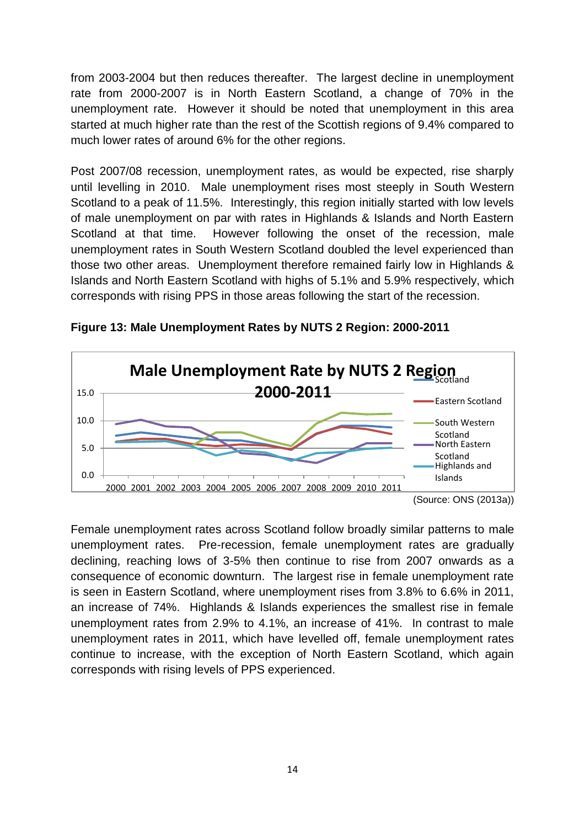from 2003-2004 but then reduces thereafter. The largest decline in unemployment rate from 2000-2007 is in North Eastern Scotland, a change of 70% in the unemployment rate. However it should be noted that unemployment in this area started at much higher rate than the rest of the Scottish regions of 9.4% compared to much lower rates of around 6% for the other regions.

Post 2007/08 recession, unemployment rates, as would be expected, rise sharply until levelling in 2010. Male unemployment rises most steeply in South Western Scotland to a peak of 11.5%. Interestingly, this region initially started with low levels of male unemployment on par with rates in Highlands & Islands and North Eastern Scotland at that time. However following the onset of the recession, male unemployment rates in South Western Scotland doubled the level experienced than those two other areas. Unemployment therefore remained fairly low in Highlands & Islands and North Eastern Scotland with highs of 5.1% and 5.9% respectively, which corresponds with rising PPS in those areas following the start of the recession.



**Figure 13: Male Unemployment Rates by NUTS 2 Region: 2000-2011**

Female unemployment rates across Scotland follow broadly similar patterns to male unemployment rates. Pre-recession, female unemployment rates are gradually declining, reaching lows of 3-5% then continue to rise from 2007 onwards as a consequence of economic downturn. The largest rise in female unemployment rate is seen in Eastern Scotland, where unemployment rises from 3.8% to 6.6% in 2011, an increase of 74%. Highlands & Islands experiences the smallest rise in female unemployment rates from 2.9% to 4.1%, an increase of 41%. In contrast to male unemployment rates in 2011, which have levelled off, female unemployment rates continue to increase, with the exception of North Eastern Scotland, which again corresponds with rising levels of PPS experienced.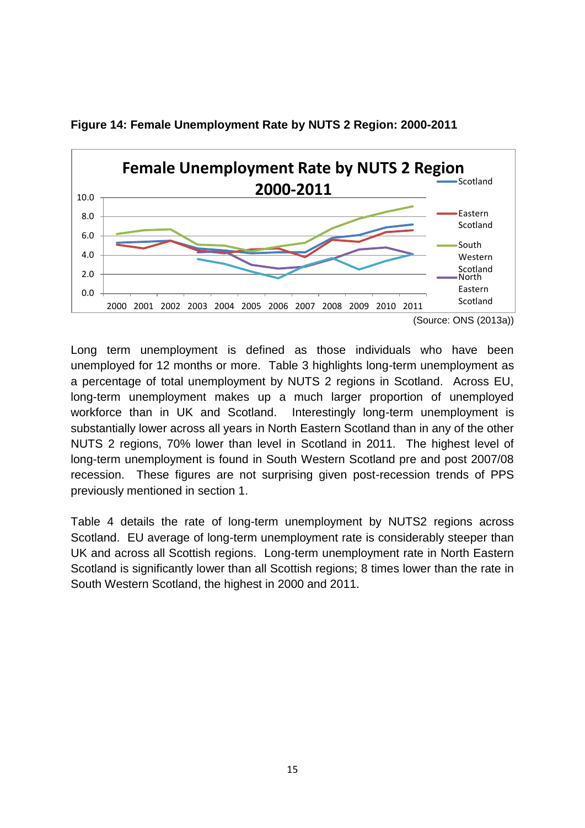

**Figure 14: Female Unemployment Rate by NUTS 2 Region: 2000-2011**

Long term unemployment is defined as those individuals who have been unemployed for 12 months or more. Table 3 highlights long-term unemployment as a percentage of total unemployment by NUTS 2 regions in Scotland. Across EU, long-term unemployment makes up a much larger proportion of unemployed workforce than in UK and Scotland. Interestingly long-term unemployment is substantially lower across all years in North Eastern Scotland than in any of the other NUTS 2 regions, 70% lower than level in Scotland in 2011. The highest level of long-term unemployment is found in South Western Scotland pre and post 2007/08 recession. These figures are not surprising given post-recession trends of PPS previously mentioned in section 1.

Table 4 details the rate of long-term unemployment by NUTS2 regions across Scotland. EU average of long-term unemployment rate is considerably steeper than UK and across all Scottish regions. Long-term unemployment rate in North Eastern Scotland is significantly lower than all Scottish regions; 8 times lower than the rate in South Western Scotland, the highest in 2000 and 2011.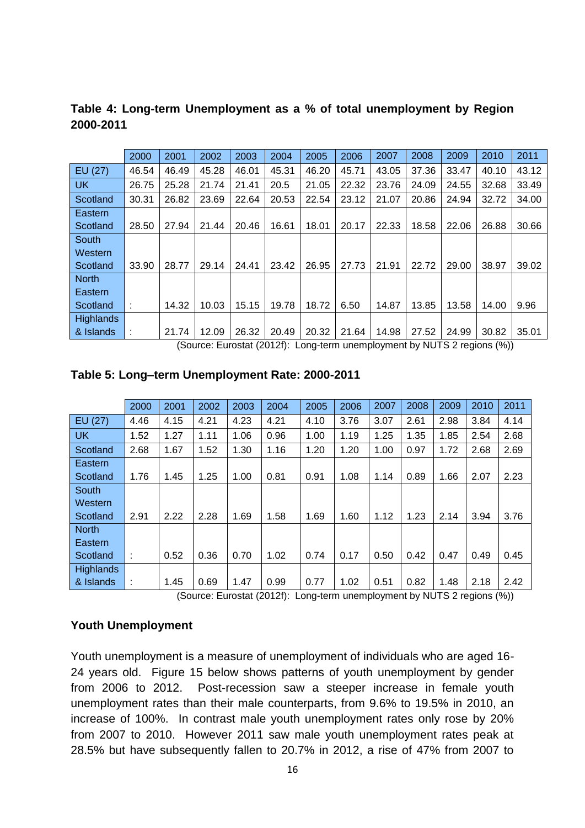|                  | 2000  | 2001  | 2002  | 2003  | 2004  | 2005  | 2006  | 2007  | 2008  | 2009  | 2010  | 2011  |
|------------------|-------|-------|-------|-------|-------|-------|-------|-------|-------|-------|-------|-------|
| EU (27)          | 46.54 | 46.49 | 45.28 | 46.01 | 45.31 | 46.20 | 45.71 | 43.05 | 37.36 | 33.47 | 40.10 | 43.12 |
| <b>UK</b>        | 26.75 | 25.28 | 21.74 | 21.41 | 20.5  | 21.05 | 22.32 | 23.76 | 24.09 | 24.55 | 32.68 | 33.49 |
| Scotland         | 30.31 | 26.82 | 23.69 | 22.64 | 20.53 | 22.54 | 23.12 | 21.07 | 20.86 | 24.94 | 32.72 | 34.00 |
| Eastern          |       |       |       |       |       |       |       |       |       |       |       |       |
| Scotland         | 28.50 | 27.94 | 21.44 | 20.46 | 16.61 | 18.01 | 20.17 | 22.33 | 18.58 | 22.06 | 26.88 | 30.66 |
| South            |       |       |       |       |       |       |       |       |       |       |       |       |
| Western          |       |       |       |       |       |       |       |       |       |       |       |       |
| Scotland         | 33.90 | 28.77 | 29.14 | 24.41 | 23.42 | 26.95 | 27.73 | 21.91 | 22.72 | 29.00 | 38.97 | 39.02 |
| <b>North</b>     |       |       |       |       |       |       |       |       |       |       |       |       |
| Eastern          |       |       |       |       |       |       |       |       |       |       |       |       |
| Scotland         |       | 14.32 | 10.03 | 15.15 | 19.78 | 18.72 | 6.50  | 14.87 | 13.85 | 13.58 | 14.00 | 9.96  |
| <b>Highlands</b> |       |       |       |       |       |       |       |       |       |       |       |       |
| & Islands        |       | 21.74 | 12.09 | 26.32 | 20.49 | 20.32 | 21.64 | 14.98 | 27.52 | 24.99 | 30.82 | 35.01 |

**Table 4: Long-term Unemployment as a % of total unemployment by Region 2000-2011** 

(Source: Eurostat (2012f): Long-term unemployment by NUTS 2 regions (%))

|                  | 2000 | 2001 | 2002 | 2003 | 2004 | 2005 | 2006 | 2007 | 2008 | 2009 | 2010 | 2011 |
|------------------|------|------|------|------|------|------|------|------|------|------|------|------|
| EU (27)          | 4.46 | 4.15 | 4.21 | 4.23 | 4.21 | 4.10 | 3.76 | 3.07 | 2.61 | 2.98 | 3.84 | 4.14 |
| <b>UK</b>        | 1.52 | 1.27 | 1.11 | 1.06 | 0.96 | 1.00 | 1.19 | 1.25 | 1.35 | 1.85 | 2.54 | 2.68 |
| Scotland         | 2.68 | 1.67 | 1.52 | 1.30 | 1.16 | 1.20 | 1.20 | 1.00 | 0.97 | 1.72 | 2.68 | 2.69 |
| Eastern          |      |      |      |      |      |      |      |      |      |      |      |      |
| Scotland         | 1.76 | 1.45 | 1.25 | 1.00 | 0.81 | 0.91 | 1.08 | 1.14 | 0.89 | 1.66 | 2.07 | 2.23 |
| South            |      |      |      |      |      |      |      |      |      |      |      |      |
| Western          |      |      |      |      |      |      |      |      |      |      |      |      |
| Scotland         | 2.91 | 2.22 | 2.28 | 1.69 | 1.58 | 1.69 | 1.60 | 1.12 | 1.23 | 2.14 | 3.94 | 3.76 |
| <b>North</b>     |      |      |      |      |      |      |      |      |      |      |      |      |
| Eastern          |      |      |      |      |      |      |      |      |      |      |      |      |
| Scotland         | t.   | 0.52 | 0.36 | 0.70 | 1.02 | 0.74 | 0.17 | 0.50 | 0.42 | 0.47 | 0.49 | 0.45 |
| <b>Highlands</b> |      |      |      |      |      |      |      |      |      |      |      |      |
| & Islands        | ÷    | 1.45 | 0.69 | 1.47 | 0.99 | 0.77 | 1.02 | 0.51 | 0.82 | 1.48 | 2.18 | 2.42 |

(Source: Eurostat (2012f): Long-term unemployment by NUTS 2 regions (%))

#### **Youth Unemployment**

Youth unemployment is a measure of unemployment of individuals who are aged 16- 24 years old. Figure 15 below shows patterns of youth unemployment by gender from 2006 to 2012. Post-recession saw a steeper increase in female youth unemployment rates than their male counterparts, from 9.6% to 19.5% in 2010, an increase of 100%. In contrast male youth unemployment rates only rose by 20% from 2007 to 2010. However 2011 saw male youth unemployment rates peak at 28.5% but have subsequently fallen to 20.7% in 2012, a rise of 47% from 2007 to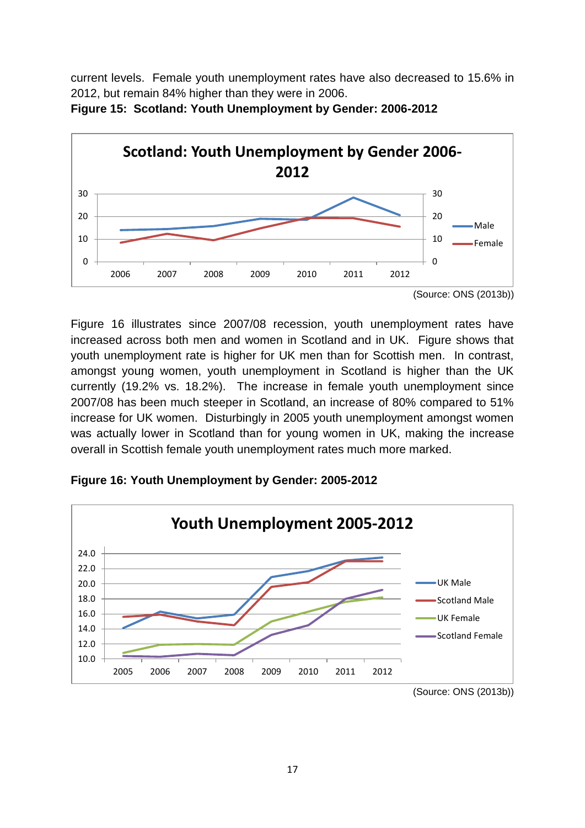current levels. Female youth unemployment rates have also decreased to 15.6% in 2012, but remain 84% higher than they were in 2006.



**Figure 15: Scotland: Youth Unemployment by Gender: 2006-2012**

**Figure 16: Youth Unemployment by Gender: 2005-2012**



Figure 16 illustrates since 2007/08 recession, youth unemployment rates have increased across both men and women in Scotland and in UK. Figure shows that youth unemployment rate is higher for UK men than for Scottish men. In contrast, amongst young women, youth unemployment in Scotland is higher than the UK currently (19.2% vs. 18.2%). The increase in female youth unemployment since 2007/08 has been much steeper in Scotland, an increase of 80% compared to 51% increase for UK women. Disturbingly in 2005 youth unemployment amongst women was actually lower in Scotland than for young women in UK, making the increase overall in Scottish female youth unemployment rates much more marked.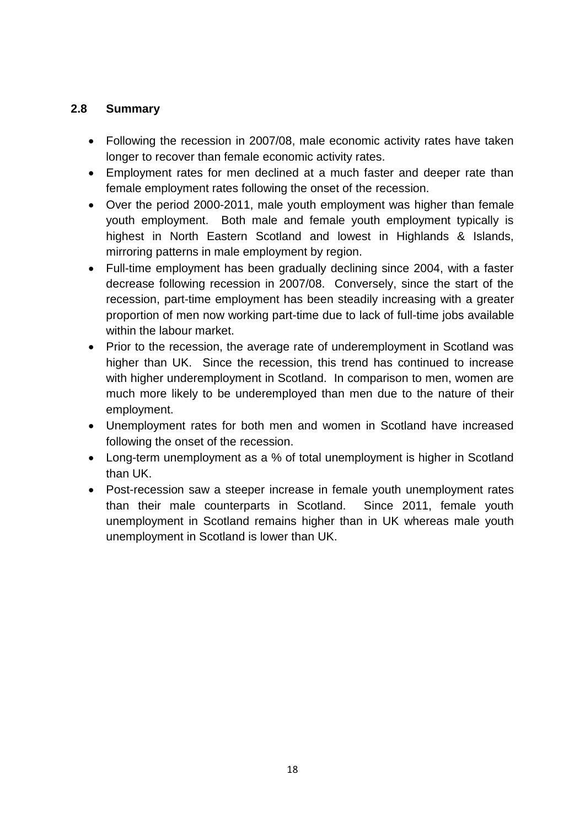# **2.8 Summary**

- Following the recession in 2007/08, male economic activity rates have taken longer to recover than female economic activity rates.
- Employment rates for men declined at a much faster and deeper rate than female employment rates following the onset of the recession.
- Over the period 2000-2011, male youth employment was higher than female youth employment. Both male and female youth employment typically is highest in North Eastern Scotland and lowest in Highlands & Islands, mirroring patterns in male employment by region.
- Full-time employment has been gradually declining since 2004, with a faster decrease following recession in 2007/08. Conversely, since the start of the recession, part-time employment has been steadily increasing with a greater proportion of men now working part-time due to lack of full-time jobs available within the labour market.
- Prior to the recession, the average rate of underemployment in Scotland was higher than UK. Since the recession, this trend has continued to increase with higher underemployment in Scotland. In comparison to men, women are much more likely to be underemployed than men due to the nature of their employment.
- Unemployment rates for both men and women in Scotland have increased following the onset of the recession.
- Long-term unemployment as a % of total unemployment is higher in Scotland than UK.
- Post-recession saw a steeper increase in female youth unemployment rates than their male counterparts in Scotland. Since 2011, female youth unemployment in Scotland remains higher than in UK whereas male youth unemployment in Scotland is lower than UK.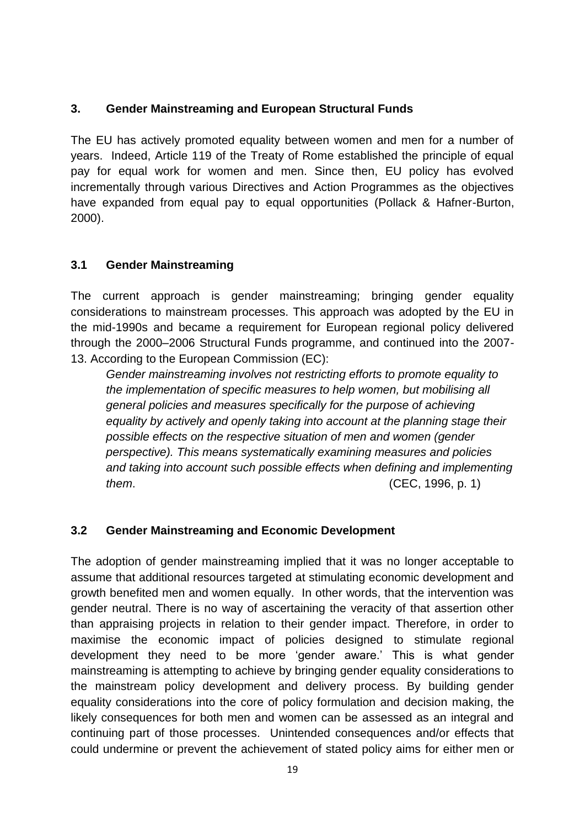# **3. Gender Mainstreaming and European Structural Funds**

The EU has actively promoted equality between women and men for a number of years. Indeed, Article 119 of the Treaty of Rome established the principle of equal pay for equal work for women and men. Since then, EU policy has evolved incrementally through various Directives and Action Programmes as the objectives have expanded from equal pay to equal opportunities (Pollack & Hafner-Burton, 2000).

#### **3.1 Gender Mainstreaming**

The current approach is gender mainstreaming; bringing gender equality considerations to mainstream processes. This approach was adopted by the EU in the mid-1990s and became a requirement for European regional policy delivered through the 2000–2006 Structural Funds programme, and continued into the 2007- 13. According to the European Commission (EC):

*Gender mainstreaming involves not restricting efforts to promote equality to the implementation of specific measures to help women, but mobilising all general policies and measures specifically for the purpose of achieving equality by actively and openly taking into account at the planning stage their possible effects on the respective situation of men and women (gender perspective). This means systematically examining measures and policies and taking into account such possible effects when defining and implementing them*. (CEC, 1996, p. 1)

# **3.2 Gender Mainstreaming and Economic Development**

The adoption of gender mainstreaming implied that it was no longer acceptable to assume that additional resources targeted at stimulating economic development and growth benefited men and women equally. In other words, that the intervention was gender neutral. There is no way of ascertaining the veracity of that assertion other than appraising projects in relation to their gender impact. Therefore, in order to maximise the economic impact of policies designed to stimulate regional development they need to be more 'gender aware.' This is what gender mainstreaming is attempting to achieve by bringing gender equality considerations to the mainstream policy development and delivery process. By building gender equality considerations into the core of policy formulation and decision making, the likely consequences for both men and women can be assessed as an integral and continuing part of those processes. Unintended consequences and/or effects that could undermine or prevent the achievement of stated policy aims for either men or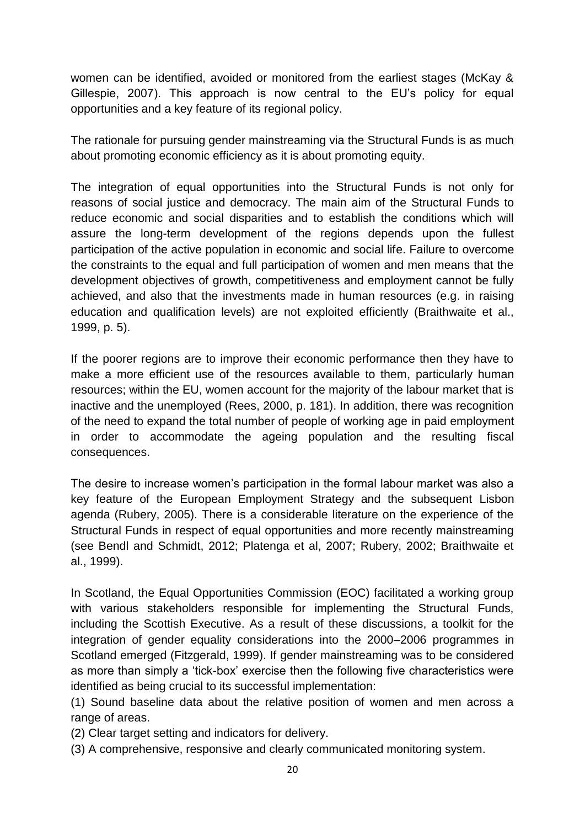women can be identified, avoided or monitored from the earliest stages (McKay & Gillespie, 2007). This approach is now central to the EU's policy for equal opportunities and a key feature of its regional policy.

The rationale for pursuing gender mainstreaming via the Structural Funds is as much about promoting economic efficiency as it is about promoting equity.

The integration of equal opportunities into the Structural Funds is not only for reasons of social justice and democracy. The main aim of the Structural Funds to reduce economic and social disparities and to establish the conditions which will assure the long-term development of the regions depends upon the fullest participation of the active population in economic and social life. Failure to overcome the constraints to the equal and full participation of women and men means that the development objectives of growth, competitiveness and employment cannot be fully achieved, and also that the investments made in human resources (e.g. in raising education and qualification levels) are not exploited efficiently (Braithwaite et al., 1999, p. 5).

If the poorer regions are to improve their economic performance then they have to make a more efficient use of the resources available to them, particularly human resources; within the EU, women account for the majority of the labour market that is inactive and the unemployed (Rees, 2000, p. 181). In addition, there was recognition of the need to expand the total number of people of working age in paid employment in order to accommodate the ageing population and the resulting fiscal consequences.

The desire to increase women's participation in the formal labour market was also a key feature of the European Employment Strategy and the subsequent Lisbon agenda (Rubery, 2005). There is a considerable literature on the experience of the Structural Funds in respect of equal opportunities and more recently mainstreaming (see Bendl and Schmidt, 2012; Platenga et al, 2007; Rubery, 2002; Braithwaite et al., 1999).

In Scotland, the Equal Opportunities Commission (EOC) facilitated a working group with various stakeholders responsible for implementing the Structural Funds, including the Scottish Executive. As a result of these discussions, a toolkit for the integration of gender equality considerations into the 2000–2006 programmes in Scotland emerged (Fitzgerald, 1999). If gender mainstreaming was to be considered as more than simply a 'tick-box' exercise then the following five characteristics were identified as being crucial to its successful implementation:

(1) Sound baseline data about the relative position of women and men across a range of areas.

(2) Clear target setting and indicators for delivery.

(3) A comprehensive, responsive and clearly communicated monitoring system.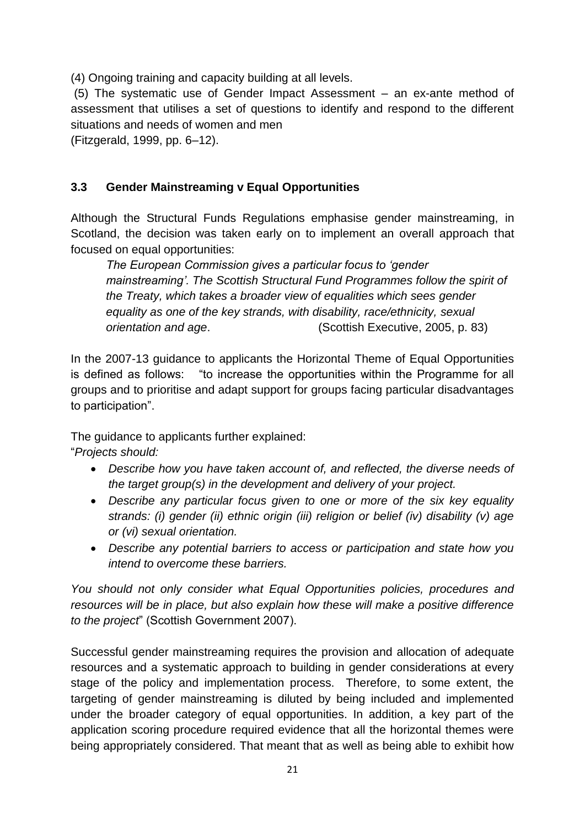(4) Ongoing training and capacity building at all levels.

(5) The systematic use of Gender Impact Assessment – an ex-ante method of assessment that utilises a set of questions to identify and respond to the different situations and needs of women and men

(Fitzgerald, 1999, pp. 6–12).

# **3.3 Gender Mainstreaming v Equal Opportunities**

Although the Structural Funds Regulations emphasise gender mainstreaming, in Scotland, the decision was taken early on to implement an overall approach that focused on equal opportunities:

*The European Commission gives a particular focus to 'gender mainstreaming'. The Scottish Structural Fund Programmes follow the spirit of the Treaty, which takes a broader view of equalities which sees gender equality as one of the key strands, with disability, race/ethnicity, sexual orientation and age*. (Scottish Executive, 2005, p. 83)

In the 2007-13 guidance to applicants the Horizontal Theme of Equal Opportunities is defined as follows: "to increase the opportunities within the Programme for all groups and to prioritise and adapt support for groups facing particular disadvantages to participation".

The guidance to applicants further explained:

"*Projects should:* 

- *Describe how you have taken account of, and reflected, the diverse needs of the target group(s) in the development and delivery of your project.*
- *Describe any particular focus given to one or more of the six key equality strands: (i) gender (ii) ethnic origin (iii) religion or belief (iv) disability (v) age or (vi) sexual orientation.*
- *Describe any potential barriers to access or participation and state how you intend to overcome these barriers.*

*You should not only consider what Equal Opportunities policies, procedures and resources will be in place, but also explain how these will make a positive difference to the project*" (Scottish Government 2007).

Successful gender mainstreaming requires the provision and allocation of adequate resources and a systematic approach to building in gender considerations at every stage of the policy and implementation process. Therefore, to some extent, the targeting of gender mainstreaming is diluted by being included and implemented under the broader category of equal opportunities. In addition, a key part of the application scoring procedure required evidence that all the horizontal themes were being appropriately considered. That meant that as well as being able to exhibit how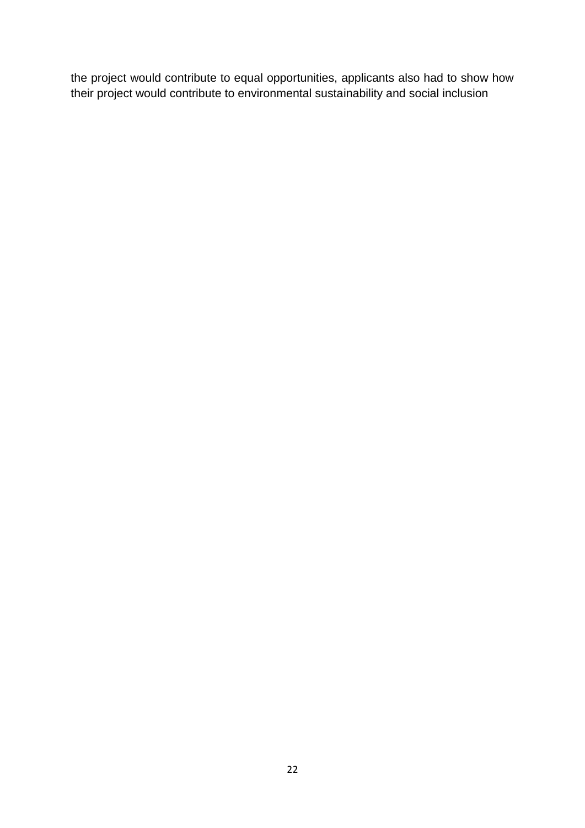the project would contribute to equal opportunities, applicants also had to show how their project would contribute to environmental sustainability and social inclusion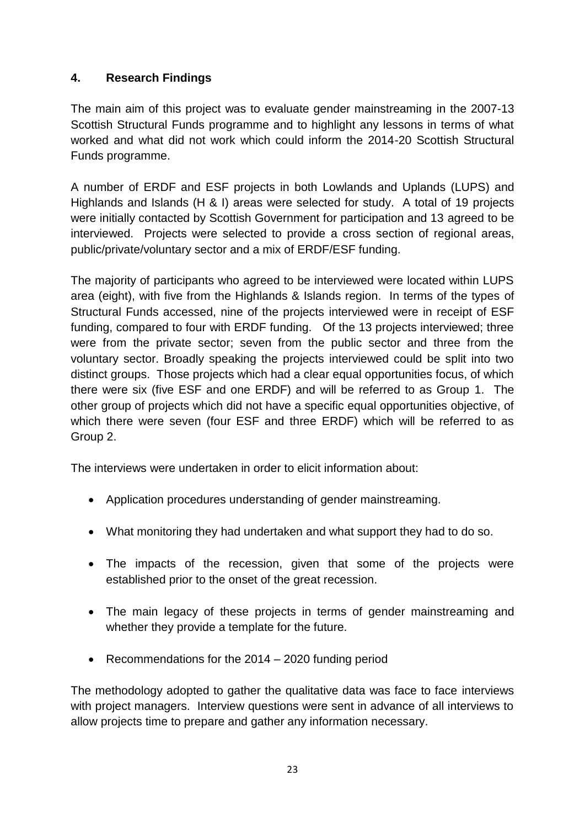# **4. Research Findings**

The main aim of this project was to evaluate gender mainstreaming in the 2007-13 Scottish Structural Funds programme and to highlight any lessons in terms of what worked and what did not work which could inform the 2014-20 Scottish Structural Funds programme.

A number of ERDF and ESF projects in both Lowlands and Uplands (LUPS) and Highlands and Islands (H & I) areas were selected for study. A total of 19 projects were initially contacted by Scottish Government for participation and 13 agreed to be interviewed. Projects were selected to provide a cross section of regional areas, public/private/voluntary sector and a mix of ERDF/ESF funding.

The majority of participants who agreed to be interviewed were located within LUPS area (eight), with five from the Highlands & Islands region. In terms of the types of Structural Funds accessed, nine of the projects interviewed were in receipt of ESF funding, compared to four with ERDF funding. Of the 13 projects interviewed; three were from the private sector; seven from the public sector and three from the voluntary sector. Broadly speaking the projects interviewed could be split into two distinct groups. Those projects which had a clear equal opportunities focus, of which there were six (five ESF and one ERDF) and will be referred to as Group 1. The other group of projects which did not have a specific equal opportunities objective, of which there were seven (four ESF and three ERDF) which will be referred to as Group 2.

The interviews were undertaken in order to elicit information about:

- Application procedures understanding of gender mainstreaming.
- What monitoring they had undertaken and what support they had to do so.
- The impacts of the recession, given that some of the projects were established prior to the onset of the great recession.
- The main legacy of these projects in terms of gender mainstreaming and whether they provide a template for the future.
- Recommendations for the 2014 2020 funding period

The methodology adopted to gather the qualitative data was face to face interviews with project managers. Interview questions were sent in advance of all interviews to allow projects time to prepare and gather any information necessary.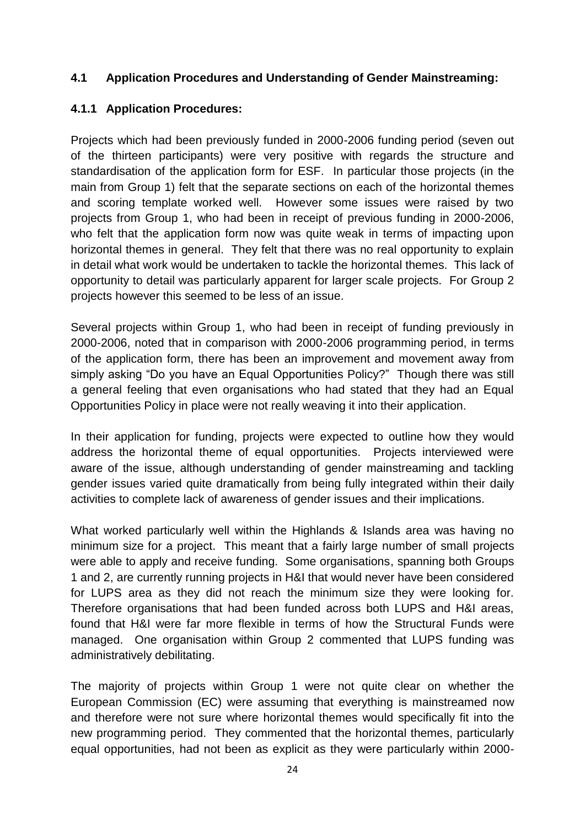#### **4.1 Application Procedures and Understanding of Gender Mainstreaming:**

# **4.1.1 Application Procedures:**

Projects which had been previously funded in 2000-2006 funding period (seven out of the thirteen participants) were very positive with regards the structure and standardisation of the application form for ESF. In particular those projects (in the main from Group 1) felt that the separate sections on each of the horizontal themes and scoring template worked well. However some issues were raised by two projects from Group 1, who had been in receipt of previous funding in 2000-2006, who felt that the application form now was quite weak in terms of impacting upon horizontal themes in general. They felt that there was no real opportunity to explain in detail what work would be undertaken to tackle the horizontal themes. This lack of opportunity to detail was particularly apparent for larger scale projects. For Group 2 projects however this seemed to be less of an issue.

Several projects within Group 1, who had been in receipt of funding previously in 2000-2006, noted that in comparison with 2000-2006 programming period, in terms of the application form, there has been an improvement and movement away from simply asking "Do you have an Equal Opportunities Policy?" Though there was still a general feeling that even organisations who had stated that they had an Equal Opportunities Policy in place were not really weaving it into their application.

In their application for funding, projects were expected to outline how they would address the horizontal theme of equal opportunities. Projects interviewed were aware of the issue, although understanding of gender mainstreaming and tackling gender issues varied quite dramatically from being fully integrated within their daily activities to complete lack of awareness of gender issues and their implications.

What worked particularly well within the Highlands & Islands area was having no minimum size for a project. This meant that a fairly large number of small projects were able to apply and receive funding. Some organisations, spanning both Groups 1 and 2, are currently running projects in H&I that would never have been considered for LUPS area as they did not reach the minimum size they were looking for. Therefore organisations that had been funded across both LUPS and H&I areas, found that H&I were far more flexible in terms of how the Structural Funds were managed. One organisation within Group 2 commented that LUPS funding was administratively debilitating.

The majority of projects within Group 1 were not quite clear on whether the European Commission (EC) were assuming that everything is mainstreamed now and therefore were not sure where horizontal themes would specifically fit into the new programming period. They commented that the horizontal themes, particularly equal opportunities, had not been as explicit as they were particularly within 2000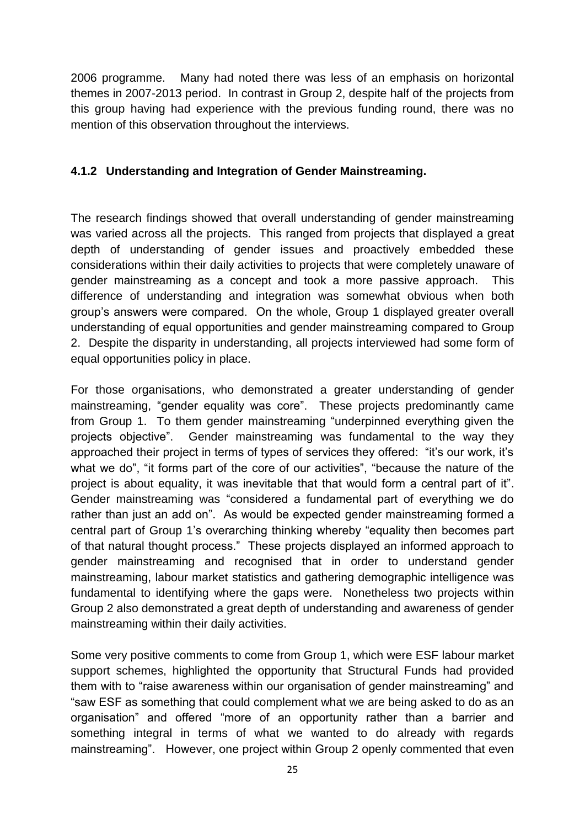2006 programme. Many had noted there was less of an emphasis on horizontal themes in 2007-2013 period. In contrast in Group 2, despite half of the projects from this group having had experience with the previous funding round, there was no mention of this observation throughout the interviews.

# **4.1.2 Understanding and Integration of Gender Mainstreaming.**

The research findings showed that overall understanding of gender mainstreaming was varied across all the projects. This ranged from projects that displayed a great depth of understanding of gender issues and proactively embedded these considerations within their daily activities to projects that were completely unaware of gender mainstreaming as a concept and took a more passive approach. This difference of understanding and integration was somewhat obvious when both group's answers were compared. On the whole, Group 1 displayed greater overall understanding of equal opportunities and gender mainstreaming compared to Group 2. Despite the disparity in understanding, all projects interviewed had some form of equal opportunities policy in place.

For those organisations, who demonstrated a greater understanding of gender mainstreaming, "gender equality was core". These projects predominantly came from Group 1. To them gender mainstreaming "underpinned everything given the projects objective". Gender mainstreaming was fundamental to the way they approached their project in terms of types of services they offered: "it's our work, it's what we do", "it forms part of the core of our activities", "because the nature of the project is about equality, it was inevitable that that would form a central part of it". Gender mainstreaming was "considered a fundamental part of everything we do rather than just an add on". As would be expected gender mainstreaming formed a central part of Group 1's overarching thinking whereby "equality then becomes part of that natural thought process." These projects displayed an informed approach to gender mainstreaming and recognised that in order to understand gender mainstreaming, labour market statistics and gathering demographic intelligence was fundamental to identifying where the gaps were. Nonetheless two projects within Group 2 also demonstrated a great depth of understanding and awareness of gender mainstreaming within their daily activities.

Some very positive comments to come from Group 1, which were ESF labour market support schemes, highlighted the opportunity that Structural Funds had provided them with to "raise awareness within our organisation of gender mainstreaming" and "saw ESF as something that could complement what we are being asked to do as an organisation" and offered "more of an opportunity rather than a barrier and something integral in terms of what we wanted to do already with regards mainstreaming". However, one project within Group 2 openly commented that even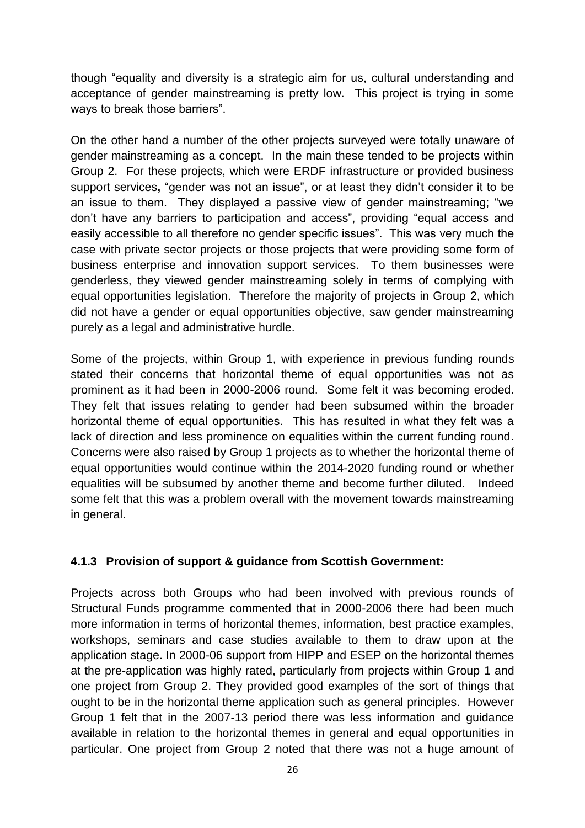though "equality and diversity is a strategic aim for us, cultural understanding and acceptance of gender mainstreaming is pretty low. This project is trying in some ways to break those barriers".

On the other hand a number of the other projects surveyed were totally unaware of gender mainstreaming as a concept. In the main these tended to be projects within Group 2. For these projects, which were ERDF infrastructure or provided business support services**,** "gender was not an issue", or at least they didn't consider it to be an issue to them. They displayed a passive view of gender mainstreaming; "we don't have any barriers to participation and access", providing "equal access and easily accessible to all therefore no gender specific issues". This was very much the case with private sector projects or those projects that were providing some form of business enterprise and innovation support services. To them businesses were genderless, they viewed gender mainstreaming solely in terms of complying with equal opportunities legislation. Therefore the majority of projects in Group 2, which did not have a gender or equal opportunities objective, saw gender mainstreaming purely as a legal and administrative hurdle.

Some of the projects, within Group 1, with experience in previous funding rounds stated their concerns that horizontal theme of equal opportunities was not as prominent as it had been in 2000-2006 round. Some felt it was becoming eroded. They felt that issues relating to gender had been subsumed within the broader horizontal theme of equal opportunities. This has resulted in what they felt was a lack of direction and less prominence on equalities within the current funding round. Concerns were also raised by Group 1 projects as to whether the horizontal theme of equal opportunities would continue within the 2014-2020 funding round or whether equalities will be subsumed by another theme and become further diluted. Indeed some felt that this was a problem overall with the movement towards mainstreaming in general.

#### **4.1.3 Provision of support & guidance from Scottish Government:**

Projects across both Groups who had been involved with previous rounds of Structural Funds programme commented that in 2000-2006 there had been much more information in terms of horizontal themes, information, best practice examples, workshops, seminars and case studies available to them to draw upon at the application stage. In 2000-06 support from HIPP and ESEP on the horizontal themes at the pre-application was highly rated, particularly from projects within Group 1 and one project from Group 2. They provided good examples of the sort of things that ought to be in the horizontal theme application such as general principles. However Group 1 felt that in the 2007-13 period there was less information and guidance available in relation to the horizontal themes in general and equal opportunities in particular. One project from Group 2 noted that there was not a huge amount of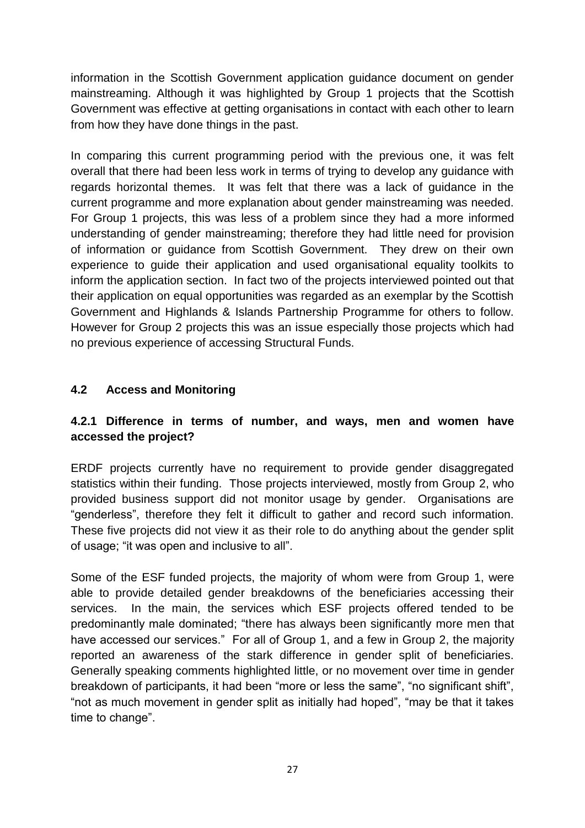information in the Scottish Government application guidance document on gender mainstreaming. Although it was highlighted by Group 1 projects that the Scottish Government was effective at getting organisations in contact with each other to learn from how they have done things in the past.

In comparing this current programming period with the previous one, it was felt overall that there had been less work in terms of trying to develop any guidance with regards horizontal themes. It was felt that there was a lack of guidance in the current programme and more explanation about gender mainstreaming was needed. For Group 1 projects, this was less of a problem since they had a more informed understanding of gender mainstreaming; therefore they had little need for provision of information or guidance from Scottish Government. They drew on their own experience to guide their application and used organisational equality toolkits to inform the application section. In fact two of the projects interviewed pointed out that their application on equal opportunities was regarded as an exemplar by the Scottish Government and Highlands & Islands Partnership Programme for others to follow. However for Group 2 projects this was an issue especially those projects which had no previous experience of accessing Structural Funds.

# **4.2 Access and Monitoring**

# **4.2.1 Difference in terms of number, and ways, men and women have accessed the project?**

ERDF projects currently have no requirement to provide gender disaggregated statistics within their funding. Those projects interviewed, mostly from Group 2, who provided business support did not monitor usage by gender. Organisations are "genderless", therefore they felt it difficult to gather and record such information. These five projects did not view it as their role to do anything about the gender split of usage; "it was open and inclusive to all".

Some of the ESF funded projects, the majority of whom were from Group 1, were able to provide detailed gender breakdowns of the beneficiaries accessing their services. In the main, the services which ESF projects offered tended to be predominantly male dominated; "there has always been significantly more men that have accessed our services." For all of Group 1, and a few in Group 2, the majority reported an awareness of the stark difference in gender split of beneficiaries. Generally speaking comments highlighted little, or no movement over time in gender breakdown of participants, it had been "more or less the same", "no significant shift", "not as much movement in gender split as initially had hoped", "may be that it takes time to change".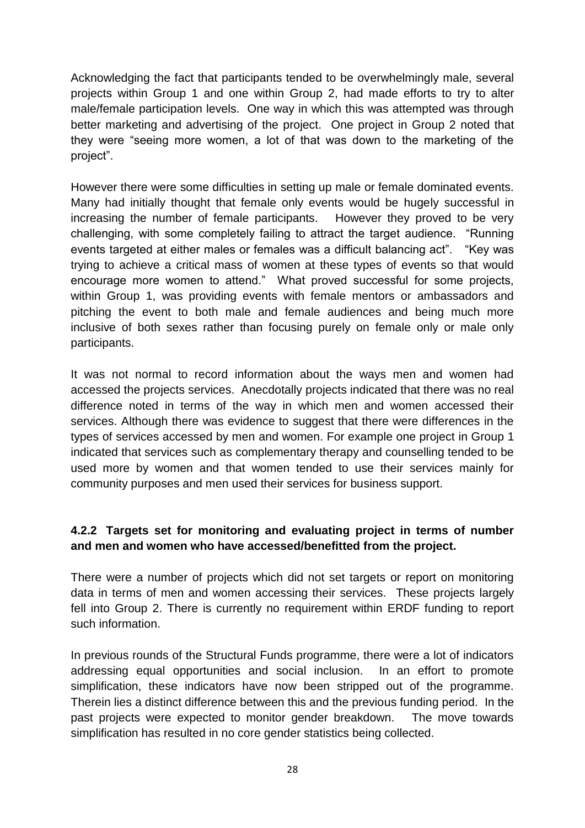Acknowledging the fact that participants tended to be overwhelmingly male, several projects within Group 1 and one within Group 2, had made efforts to try to alter male/female participation levels. One way in which this was attempted was through better marketing and advertising of the project. One project in Group 2 noted that they were "seeing more women, a lot of that was down to the marketing of the project".

However there were some difficulties in setting up male or female dominated events. Many had initially thought that female only events would be hugely successful in increasing the number of female participants. However they proved to be very challenging, with some completely failing to attract the target audience. "Running events targeted at either males or females was a difficult balancing act". "Key was trying to achieve a critical mass of women at these types of events so that would encourage more women to attend." What proved successful for some projects, within Group 1, was providing events with female mentors or ambassadors and pitching the event to both male and female audiences and being much more inclusive of both sexes rather than focusing purely on female only or male only participants.

It was not normal to record information about the ways men and women had accessed the projects services. Anecdotally projects indicated that there was no real difference noted in terms of the way in which men and women accessed their services. Although there was evidence to suggest that there were differences in the types of services accessed by men and women. For example one project in Group 1 indicated that services such as complementary therapy and counselling tended to be used more by women and that women tended to use their services mainly for community purposes and men used their services for business support.

# **4.2.2 Targets set for monitoring and evaluating project in terms of number and men and women who have accessed/benefitted from the project.**

There were a number of projects which did not set targets or report on monitoring data in terms of men and women accessing their services. These projects largely fell into Group 2. There is currently no requirement within ERDF funding to report such information.

In previous rounds of the Structural Funds programme, there were a lot of indicators addressing equal opportunities and social inclusion. In an effort to promote simplification, these indicators have now been stripped out of the programme. Therein lies a distinct difference between this and the previous funding period. In the past projects were expected to monitor gender breakdown. The move towards simplification has resulted in no core gender statistics being collected.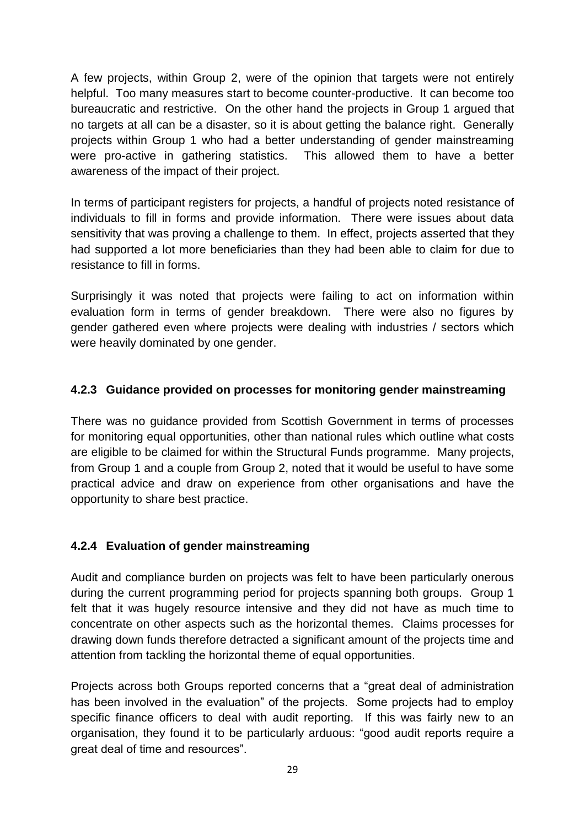A few projects, within Group 2, were of the opinion that targets were not entirely helpful. Too many measures start to become counter-productive. It can become too bureaucratic and restrictive. On the other hand the projects in Group 1 argued that no targets at all can be a disaster, so it is about getting the balance right. Generally projects within Group 1 who had a better understanding of gender mainstreaming were pro-active in gathering statistics. This allowed them to have a better awareness of the impact of their project.

In terms of participant registers for projects, a handful of projects noted resistance of individuals to fill in forms and provide information. There were issues about data sensitivity that was proving a challenge to them. In effect, projects asserted that they had supported a lot more beneficiaries than they had been able to claim for due to resistance to fill in forms.

Surprisingly it was noted that projects were failing to act on information within evaluation form in terms of gender breakdown. There were also no figures by gender gathered even where projects were dealing with industries / sectors which were heavily dominated by one gender.

# **4.2.3 Guidance provided on processes for monitoring gender mainstreaming**

There was no guidance provided from Scottish Government in terms of processes for monitoring equal opportunities, other than national rules which outline what costs are eligible to be claimed for within the Structural Funds programme. Many projects, from Group 1 and a couple from Group 2, noted that it would be useful to have some practical advice and draw on experience from other organisations and have the opportunity to share best practice.

#### **4.2.4 Evaluation of gender mainstreaming**

Audit and compliance burden on projects was felt to have been particularly onerous during the current programming period for projects spanning both groups. Group 1 felt that it was hugely resource intensive and they did not have as much time to concentrate on other aspects such as the horizontal themes. Claims processes for drawing down funds therefore detracted a significant amount of the projects time and attention from tackling the horizontal theme of equal opportunities.

Projects across both Groups reported concerns that a "great deal of administration has been involved in the evaluation" of the projects. Some projects had to employ specific finance officers to deal with audit reporting. If this was fairly new to an organisation, they found it to be particularly arduous: "good audit reports require a great deal of time and resources".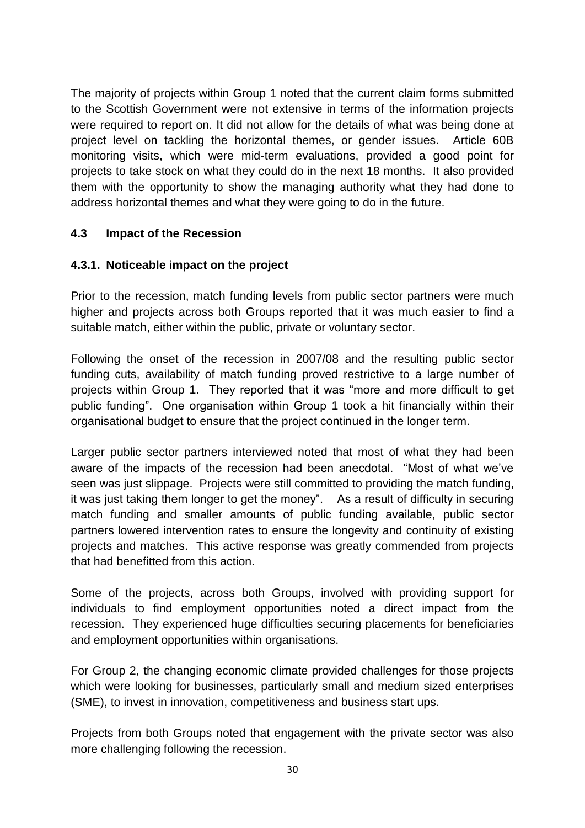The majority of projects within Group 1 noted that the current claim forms submitted to the Scottish Government were not extensive in terms of the information projects were required to report on. It did not allow for the details of what was being done at project level on tackling the horizontal themes, or gender issues. Article 60B monitoring visits, which were mid-term evaluations, provided a good point for projects to take stock on what they could do in the next 18 months. It also provided them with the opportunity to show the managing authority what they had done to address horizontal themes and what they were going to do in the future.

#### **4.3 Impact of the Recession**

#### **4.3.1. Noticeable impact on the project**

Prior to the recession, match funding levels from public sector partners were much higher and projects across both Groups reported that it was much easier to find a suitable match, either within the public, private or voluntary sector.

Following the onset of the recession in 2007/08 and the resulting public sector funding cuts, availability of match funding proved restrictive to a large number of projects within Group 1. They reported that it was "more and more difficult to get public funding". One organisation within Group 1 took a hit financially within their organisational budget to ensure that the project continued in the longer term.

Larger public sector partners interviewed noted that most of what they had been aware of the impacts of the recession had been anecdotal. "Most of what we've seen was just slippage. Projects were still committed to providing the match funding, it was just taking them longer to get the money". As a result of difficulty in securing match funding and smaller amounts of public funding available, public sector partners lowered intervention rates to ensure the longevity and continuity of existing projects and matches. This active response was greatly commended from projects that had benefitted from this action.

Some of the projects, across both Groups, involved with providing support for individuals to find employment opportunities noted a direct impact from the recession. They experienced huge difficulties securing placements for beneficiaries and employment opportunities within organisations.

For Group 2, the changing economic climate provided challenges for those projects which were looking for businesses, particularly small and medium sized enterprises (SME), to invest in innovation, competitiveness and business start ups.

Projects from both Groups noted that engagement with the private sector was also more challenging following the recession.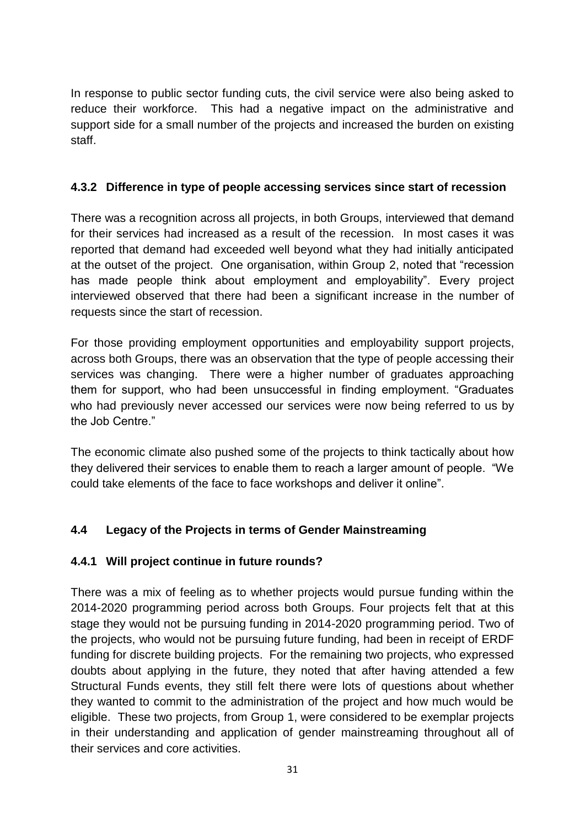In response to public sector funding cuts, the civil service were also being asked to reduce their workforce. This had a negative impact on the administrative and support side for a small number of the projects and increased the burden on existing staff.

# **4.3.2 Difference in type of people accessing services since start of recession**

There was a recognition across all projects, in both Groups, interviewed that demand for their services had increased as a result of the recession. In most cases it was reported that demand had exceeded well beyond what they had initially anticipated at the outset of the project. One organisation, within Group 2, noted that "recession has made people think about employment and employability". Every project interviewed observed that there had been a significant increase in the number of requests since the start of recession.

For those providing employment opportunities and employability support projects, across both Groups, there was an observation that the type of people accessing their services was changing. There were a higher number of graduates approaching them for support, who had been unsuccessful in finding employment. "Graduates who had previously never accessed our services were now being referred to us by the Job Centre."

The economic climate also pushed some of the projects to think tactically about how they delivered their services to enable them to reach a larger amount of people. "We could take elements of the face to face workshops and deliver it online".

# **4.4 Legacy of the Projects in terms of Gender Mainstreaming**

#### **4.4.1 Will project continue in future rounds?**

There was a mix of feeling as to whether projects would pursue funding within the 2014-2020 programming period across both Groups. Four projects felt that at this stage they would not be pursuing funding in 2014-2020 programming period. Two of the projects, who would not be pursuing future funding, had been in receipt of ERDF funding for discrete building projects. For the remaining two projects, who expressed doubts about applying in the future, they noted that after having attended a few Structural Funds events, they still felt there were lots of questions about whether they wanted to commit to the administration of the project and how much would be eligible. These two projects, from Group 1, were considered to be exemplar projects in their understanding and application of gender mainstreaming throughout all of their services and core activities.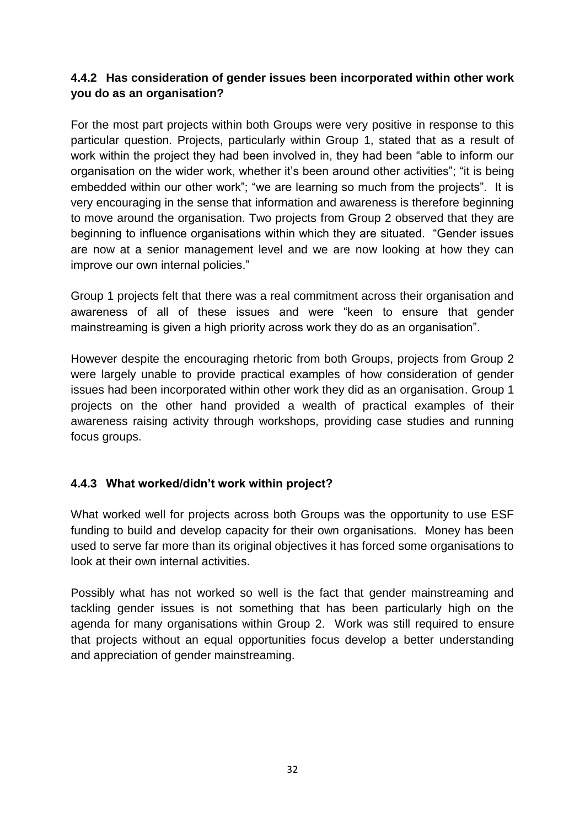# **4.4.2 Has consideration of gender issues been incorporated within other work you do as an organisation?**

For the most part projects within both Groups were very positive in response to this particular question. Projects, particularly within Group 1, stated that as a result of work within the project they had been involved in, they had been "able to inform our organisation on the wider work, whether it's been around other activities"; "it is being embedded within our other work"; "we are learning so much from the projects". It is very encouraging in the sense that information and awareness is therefore beginning to move around the organisation. Two projects from Group 2 observed that they are beginning to influence organisations within which they are situated. "Gender issues are now at a senior management level and we are now looking at how they can improve our own internal policies."

Group 1 projects felt that there was a real commitment across their organisation and awareness of all of these issues and were "keen to ensure that gender mainstreaming is given a high priority across work they do as an organisation".

However despite the encouraging rhetoric from both Groups, projects from Group 2 were largely unable to provide practical examples of how consideration of gender issues had been incorporated within other work they did as an organisation. Group 1 projects on the other hand provided a wealth of practical examples of their awareness raising activity through workshops, providing case studies and running focus groups.

#### **4.4.3 What worked/didn't work within project?**

What worked well for projects across both Groups was the opportunity to use ESF funding to build and develop capacity for their own organisations. Money has been used to serve far more than its original objectives it has forced some organisations to look at their own internal activities.

Possibly what has not worked so well is the fact that gender mainstreaming and tackling gender issues is not something that has been particularly high on the agenda for many organisations within Group 2. Work was still required to ensure that projects without an equal opportunities focus develop a better understanding and appreciation of gender mainstreaming.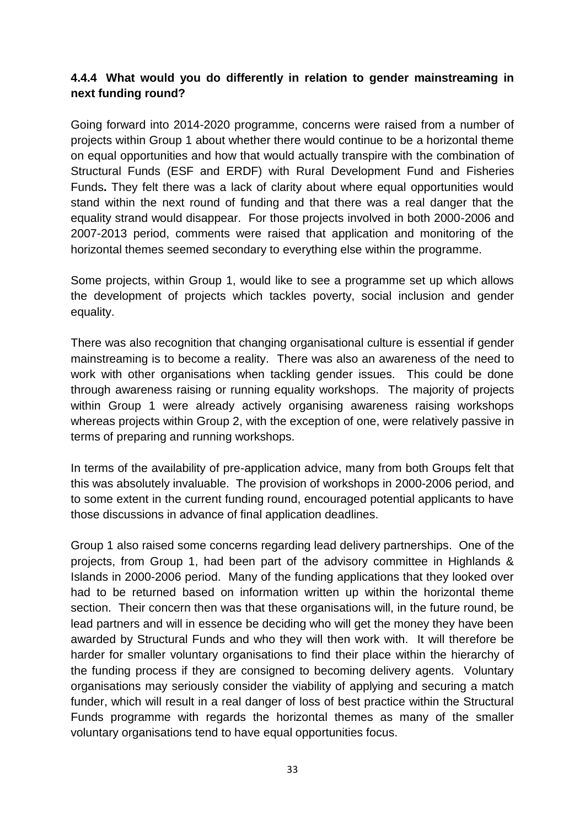# **4.4.4 What would you do differently in relation to gender mainstreaming in next funding round?**

Going forward into 2014-2020 programme, concerns were raised from a number of projects within Group 1 about whether there would continue to be a horizontal theme on equal opportunities and how that would actually transpire with the combination of Structural Funds (ESF and ERDF) with Rural Development Fund and Fisheries Funds**.** They felt there was a lack of clarity about where equal opportunities would stand within the next round of funding and that there was a real danger that the equality strand would disappear. For those projects involved in both 2000-2006 and 2007-2013 period, comments were raised that application and monitoring of the horizontal themes seemed secondary to everything else within the programme.

Some projects, within Group 1, would like to see a programme set up which allows the development of projects which tackles poverty, social inclusion and gender equality.

There was also recognition that changing organisational culture is essential if gender mainstreaming is to become a reality. There was also an awareness of the need to work with other organisations when tackling gender issues. This could be done through awareness raising or running equality workshops. The majority of projects within Group 1 were already actively organising awareness raising workshops whereas projects within Group 2, with the exception of one, were relatively passive in terms of preparing and running workshops.

In terms of the availability of pre-application advice, many from both Groups felt that this was absolutely invaluable. The provision of workshops in 2000-2006 period, and to some extent in the current funding round, encouraged potential applicants to have those discussions in advance of final application deadlines.

Group 1 also raised some concerns regarding lead delivery partnerships. One of the projects, from Group 1, had been part of the advisory committee in Highlands & Islands in 2000-2006 period. Many of the funding applications that they looked over had to be returned based on information written up within the horizontal theme section. Their concern then was that these organisations will, in the future round, be lead partners and will in essence be deciding who will get the money they have been awarded by Structural Funds and who they will then work with. It will therefore be harder for smaller voluntary organisations to find their place within the hierarchy of the funding process if they are consigned to becoming delivery agents. Voluntary organisations may seriously consider the viability of applying and securing a match funder, which will result in a real danger of loss of best practice within the Structural Funds programme with regards the horizontal themes as many of the smaller voluntary organisations tend to have equal opportunities focus.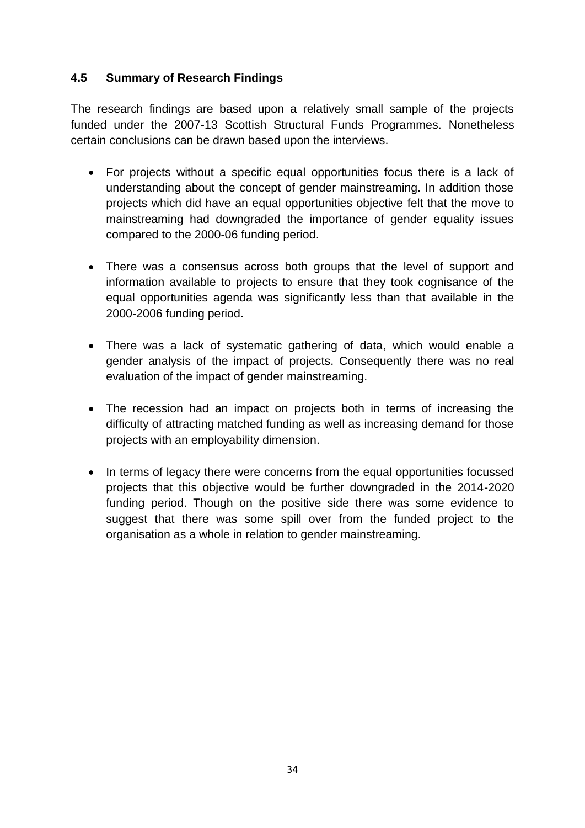#### **4.5 Summary of Research Findings**

The research findings are based upon a relatively small sample of the projects funded under the 2007-13 Scottish Structural Funds Programmes. Nonetheless certain conclusions can be drawn based upon the interviews.

- For projects without a specific equal opportunities focus there is a lack of understanding about the concept of gender mainstreaming. In addition those projects which did have an equal opportunities objective felt that the move to mainstreaming had downgraded the importance of gender equality issues compared to the 2000-06 funding period.
- There was a consensus across both groups that the level of support and information available to projects to ensure that they took cognisance of the equal opportunities agenda was significantly less than that available in the 2000-2006 funding period.
- There was a lack of systematic gathering of data, which would enable a gender analysis of the impact of projects. Consequently there was no real evaluation of the impact of gender mainstreaming.
- The recession had an impact on projects both in terms of increasing the difficulty of attracting matched funding as well as increasing demand for those projects with an employability dimension.
- In terms of legacy there were concerns from the equal opportunities focussed projects that this objective would be further downgraded in the 2014-2020 funding period. Though on the positive side there was some evidence to suggest that there was some spill over from the funded project to the organisation as a whole in relation to gender mainstreaming.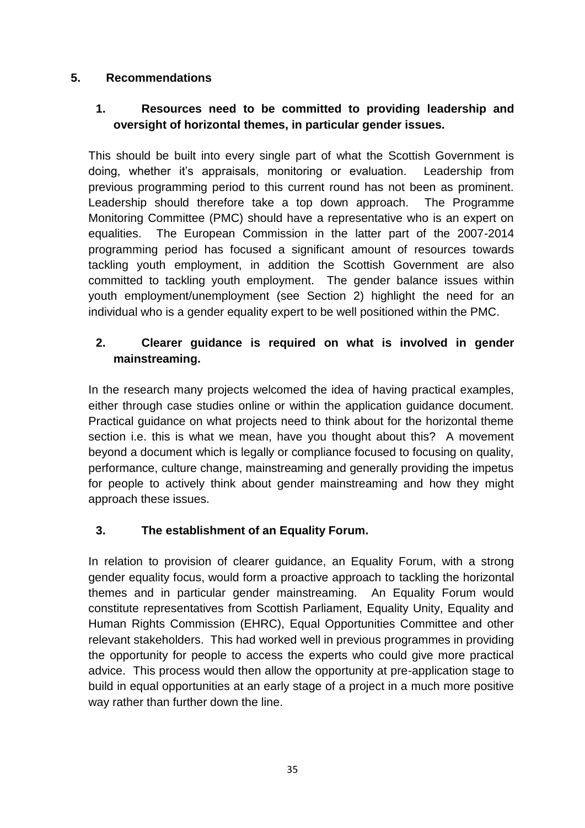# **5. Recommendations**

# **1. Resources need to be committed to providing leadership and oversight of horizontal themes, in particular gender issues.**

This should be built into every single part of what the Scottish Government is doing, whether it's appraisals, monitoring or evaluation. Leadership from previous programming period to this current round has not been as prominent. Leadership should therefore take a top down approach. The Programme Monitoring Committee (PMC) should have a representative who is an expert on equalities. The European Commission in the latter part of the 2007-2014 programming period has focused a significant amount of resources towards tackling youth employment, in addition the Scottish Government are also committed to tackling youth employment. The gender balance issues within youth employment/unemployment (see Section 2) highlight the need for an individual who is a gender equality expert to be well positioned within the PMC.

# **2. Clearer guidance is required on what is involved in gender mainstreaming.**

In the research many projects welcomed the idea of having practical examples, either through case studies online or within the application guidance document. Practical guidance on what projects need to think about for the horizontal theme section i.e. this is what we mean, have you thought about this? A movement beyond a document which is legally or compliance focused to focusing on quality, performance, culture change, mainstreaming and generally providing the impetus for people to actively think about gender mainstreaming and how they might approach these issues.

# **3. The establishment of an Equality Forum.**

In relation to provision of clearer guidance, an Equality Forum, with a strong gender equality focus, would form a proactive approach to tackling the horizontal themes and in particular gender mainstreaming. An Equality Forum would constitute representatives from Scottish Parliament, Equality Unity, Equality and Human Rights Commission (EHRC), Equal Opportunities Committee and other relevant stakeholders. This had worked well in previous programmes in providing the opportunity for people to access the experts who could give more practical advice. This process would then allow the opportunity at pre-application stage to build in equal opportunities at an early stage of a project in a much more positive way rather than further down the line.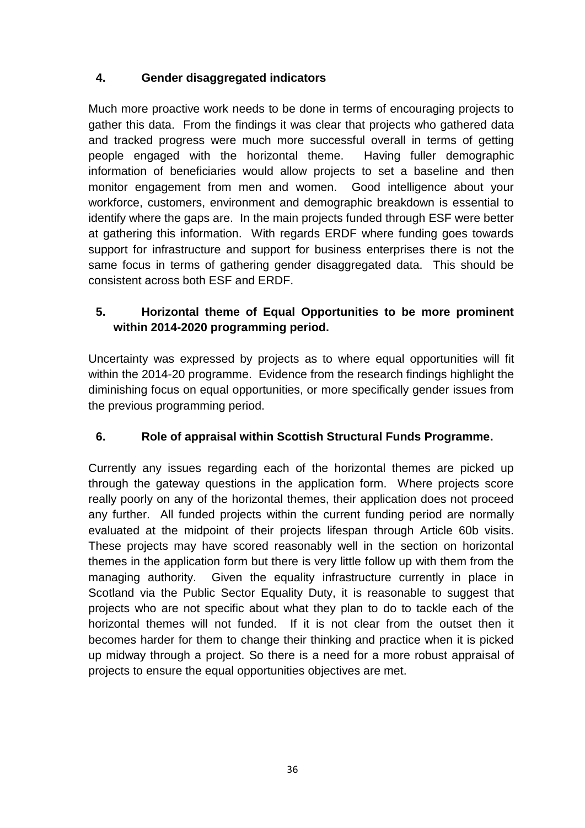# **4. Gender disaggregated indicators**

Much more proactive work needs to be done in terms of encouraging projects to gather this data. From the findings it was clear that projects who gathered data and tracked progress were much more successful overall in terms of getting people engaged with the horizontal theme. Having fuller demographic information of beneficiaries would allow projects to set a baseline and then monitor engagement from men and women. Good intelligence about your workforce, customers, environment and demographic breakdown is essential to identify where the gaps are. In the main projects funded through ESF were better at gathering this information. With regards ERDF where funding goes towards support for infrastructure and support for business enterprises there is not the same focus in terms of gathering gender disaggregated data. This should be consistent across both ESF and ERDF.

# **5. Horizontal theme of Equal Opportunities to be more prominent within 2014-2020 programming period.**

Uncertainty was expressed by projects as to where equal opportunities will fit within the 2014-20 programme. Evidence from the research findings highlight the diminishing focus on equal opportunities, or more specifically gender issues from the previous programming period.

# **6. Role of appraisal within Scottish Structural Funds Programme.**

Currently any issues regarding each of the horizontal themes are picked up through the gateway questions in the application form. Where projects score really poorly on any of the horizontal themes, their application does not proceed any further. All funded projects within the current funding period are normally evaluated at the midpoint of their projects lifespan through Article 60b visits. These projects may have scored reasonably well in the section on horizontal themes in the application form but there is very little follow up with them from the managing authority. Given the equality infrastructure currently in place in Scotland via the Public Sector Equality Duty, it is reasonable to suggest that projects who are not specific about what they plan to do to tackle each of the horizontal themes will not funded. If it is not clear from the outset then it becomes harder for them to change their thinking and practice when it is picked up midway through a project. So there is a need for a more robust appraisal of projects to ensure the equal opportunities objectives are met.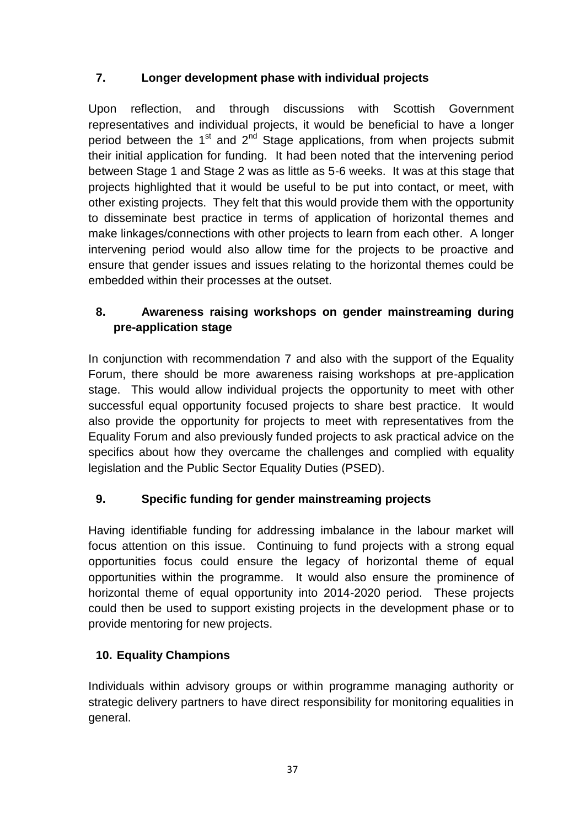# **7. Longer development phase with individual projects**

Upon reflection, and through discussions with Scottish Government representatives and individual projects, it would be beneficial to have a longer period between the  $1<sup>st</sup>$  and  $2<sup>nd</sup>$  Stage applications, from when projects submit their initial application for funding. It had been noted that the intervening period between Stage 1 and Stage 2 was as little as 5-6 weeks. It was at this stage that projects highlighted that it would be useful to be put into contact, or meet, with other existing projects. They felt that this would provide them with the opportunity to disseminate best practice in terms of application of horizontal themes and make linkages/connections with other projects to learn from each other. A longer intervening period would also allow time for the projects to be proactive and ensure that gender issues and issues relating to the horizontal themes could be embedded within their processes at the outset.

# **8. Awareness raising workshops on gender mainstreaming during pre-application stage**

In conjunction with recommendation 7 and also with the support of the Equality Forum, there should be more awareness raising workshops at pre-application stage. This would allow individual projects the opportunity to meet with other successful equal opportunity focused projects to share best practice. It would also provide the opportunity for projects to meet with representatives from the Equality Forum and also previously funded projects to ask practical advice on the specifics about how they overcame the challenges and complied with equality legislation and the Public Sector Equality Duties (PSED).

# **9. Specific funding for gender mainstreaming projects**

Having identifiable funding for addressing imbalance in the labour market will focus attention on this issue. Continuing to fund projects with a strong equal opportunities focus could ensure the legacy of horizontal theme of equal opportunities within the programme. It would also ensure the prominence of horizontal theme of equal opportunity into 2014-2020 period. These projects could then be used to support existing projects in the development phase or to provide mentoring for new projects.

# **10. Equality Champions**

Individuals within advisory groups or within programme managing authority or strategic delivery partners to have direct responsibility for monitoring equalities in general.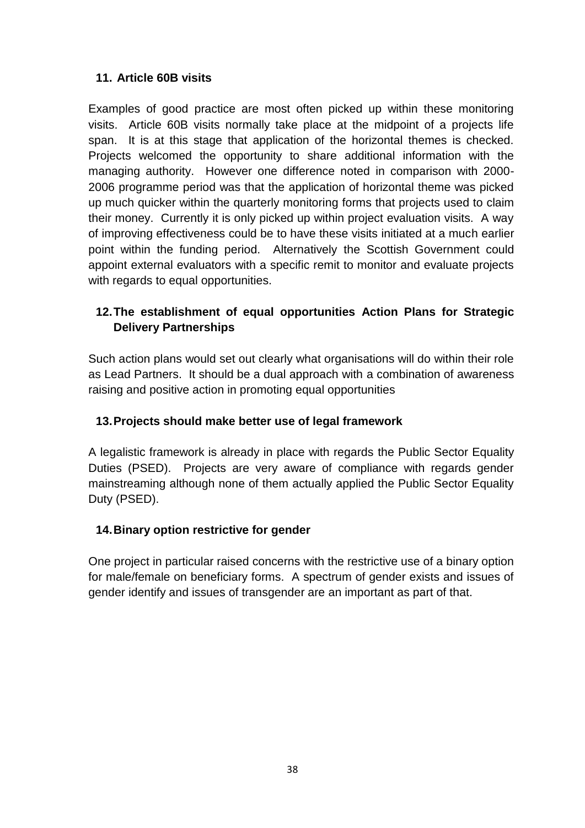# **11. Article 60B visits**

Examples of good practice are most often picked up within these monitoring visits. Article 60B visits normally take place at the midpoint of a projects life span. It is at this stage that application of the horizontal themes is checked. Projects welcomed the opportunity to share additional information with the managing authority. However one difference noted in comparison with 2000- 2006 programme period was that the application of horizontal theme was picked up much quicker within the quarterly monitoring forms that projects used to claim their money. Currently it is only picked up within project evaluation visits. A way of improving effectiveness could be to have these visits initiated at a much earlier point within the funding period. Alternatively the Scottish Government could appoint external evaluators with a specific remit to monitor and evaluate projects with regards to equal opportunities.

# **12.The establishment of equal opportunities Action Plans for Strategic Delivery Partnerships**

Such action plans would set out clearly what organisations will do within their role as Lead Partners. It should be a dual approach with a combination of awareness raising and positive action in promoting equal opportunities

# **13.Projects should make better use of legal framework**

A legalistic framework is already in place with regards the Public Sector Equality Duties (PSED). Projects are very aware of compliance with regards gender mainstreaming although none of them actually applied the Public Sector Equality Duty (PSED).

#### **14.Binary option restrictive for gender**

One project in particular raised concerns with the restrictive use of a binary option for male/female on beneficiary forms. A spectrum of gender exists and issues of gender identify and issues of transgender are an important as part of that.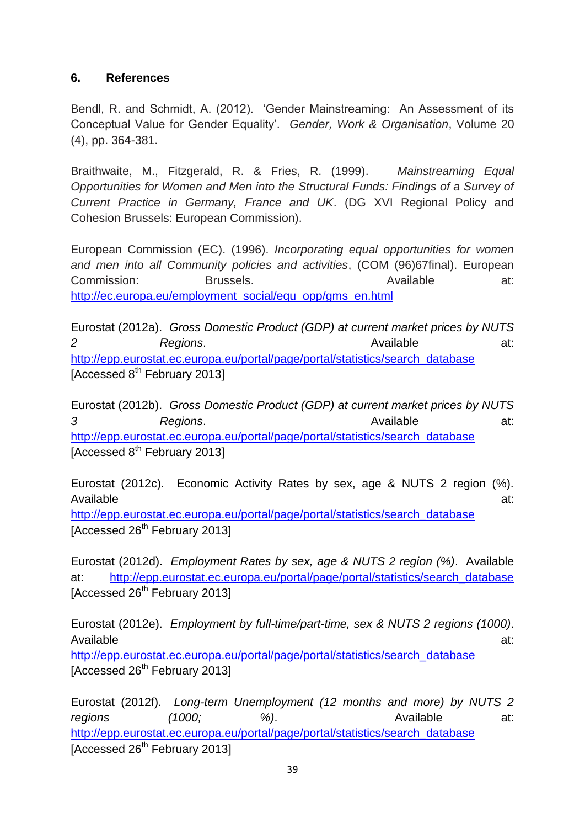#### **6. References**

Bendl, R. and Schmidt, A. (2012). 'Gender Mainstreaming: An Assessment of its Conceptual Value for Gender Equality'. *Gender, Work & Organisation*, Volume 20 (4), pp. 364-381.

Braithwaite, M., Fitzgerald, R. & Fries, R. (1999). *Mainstreaming Equal Opportunities for Women and Men into the Structural Funds: Findings of a Survey of Current Practice in Germany, France and UK*. (DG XVI Regional Policy and Cohesion Brussels: European Commission).

European Commission (EC). (1996). *Incorporating equal opportunities for women and men into all Community policies and activities*, (COM (96)67final). European Commission: Brussels. Available at: [http://ec.europa.eu/employment\\_social/equ\\_opp/gms\\_en.html](http://ec.europa.eu/employment_social/equ_opp/gms_en.html)

Eurostat (2012a). *Gross Domestic Product (GDP) at current market prices by NUTS*  2 Regions. **Available** at: [http://epp.eurostat.ec.europa.eu/portal/page/portal/statistics/search\\_database](http://epp.eurostat.ec.europa.eu/portal/page/portal/statistics/search_database) [Accessed  $8<sup>th</sup>$  February 2013]

Eurostat (2012b). *Gross Domestic Product (GDP) at current market prices by NUTS*  3 Regions. **Regions**. Available at: [http://epp.eurostat.ec.europa.eu/portal/page/portal/statistics/search\\_database](http://epp.eurostat.ec.europa.eu/portal/page/portal/statistics/search_database) [Accessed  $8<sup>th</sup>$  February 2013]

Eurostat (2012c). Economic Activity Rates by sex, age & NUTS 2 region (%). Available at: [http://epp.eurostat.ec.europa.eu/portal/page/portal/statistics/search\\_database](http://epp.eurostat.ec.europa.eu/portal/page/portal/statistics/search_database) [Accessed 26<sup>th</sup> February 2013]

Eurostat (2012d). *Employment Rates by sex, age & NUTS 2 region (%)*. Available at: [http://epp.eurostat.ec.europa.eu/portal/page/portal/statistics/search\\_database](http://epp.eurostat.ec.europa.eu/portal/page/portal/statistics/search_database) [Accessed  $26<sup>th</sup>$  February 2013]

Eurostat (2012e). *Employment by full-time/part-time, sex & NUTS 2 regions (1000)*. Available at: [http://epp.eurostat.ec.europa.eu/portal/page/portal/statistics/search\\_database](http://epp.eurostat.ec.europa.eu/portal/page/portal/statistics/search_database) [Accessed 26<sup>th</sup> February 2013]

Eurostat (2012f). *Long-term Unemployment (12 months and more) by NUTS 2 regions* (1000; %). Available at: [http://epp.eurostat.ec.europa.eu/portal/page/portal/statistics/search\\_database](http://epp.eurostat.ec.europa.eu/portal/page/portal/statistics/search_database) [Accessed 26<sup>th</sup> February 2013]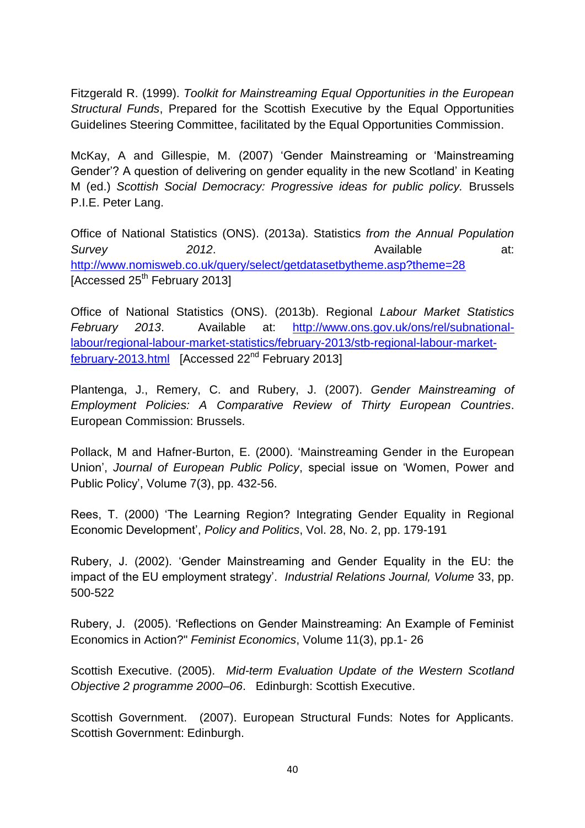Fitzgerald R. (1999). *Toolkit for Mainstreaming Equal Opportunities in the European Structural Funds*, Prepared for the Scottish Executive by the Equal Opportunities Guidelines Steering Committee, facilitated by the Equal Opportunities Commission.

McKay, A and Gillespie, M. (2007) 'Gender Mainstreaming or 'Mainstreaming Gender'? A question of delivering on gender equality in the new Scotland' in Keating M (ed.) *Scottish Social Democracy: Progressive ideas for public policy.* Brussels P.I.E. Peter Lang.

Office of National Statistics (ONS). (2013a). Statistics *from the Annual Population*  **Survey 2012. Conservery** 2012. **Available** at: <http://www.nomisweb.co.uk/query/select/getdatasetbytheme.asp?theme=28> [Accessed 25<sup>th</sup> February 2013]

Office of National Statistics (ONS). (2013b). Regional *Labour Market Statistics February 2013*. Available at: [http://www.ons.gov.uk/ons/rel/subnational](http://www.ons.gov.uk/ons/rel/subnational-labour/regional-labour-market-statistics/february-2013/stb-regional-labour-market-february-2013.html)[labour/regional-labour-market-statistics/february-2013/stb-regional-labour-market](http://www.ons.gov.uk/ons/rel/subnational-labour/regional-labour-market-statistics/february-2013/stb-regional-labour-market-february-2013.html)[february-2013.html](http://www.ons.gov.uk/ons/rel/subnational-labour/regional-labour-market-statistics/february-2013/stb-regional-labour-market-february-2013.html) [Accessed 22nd February 2013]

Plantenga, J., Remery, C. and Rubery, J. (2007). *Gender Mainstreaming of Employment Policies: A Comparative Review of Thirty European Countries*. European Commission: Brussels.

Pollack, M and Hafner-Burton, E. (2000). 'Mainstreaming Gender in the European Union', *Journal of European Public Policy*, special issue on 'Women, Power and Public Policy', Volume 7(3), pp. 432-56.

Rees, T. (2000) 'The Learning Region? Integrating Gender Equality in Regional Economic Development', *Policy and Politics*, Vol. 28, No. 2, pp. 179-191

Rubery, J. (2002). 'Gender Mainstreaming and Gender Equality in the EU: the impact of the EU employment strategy'. *Industrial Relations Journal, Volume* 33, pp. 500-522

Rubery, J. (2005). 'Reflections on Gender Mainstreaming: An Example of Feminist Economics in Action?" *Feminist Economics*, Volume 11(3), pp.1- 26

Scottish Executive. (2005). *Mid-term Evaluation Update of the Western Scotland Objective 2 programme 2000–06*. Edinburgh: Scottish Executive.

Scottish Government. (2007). European Structural Funds: Notes for Applicants. Scottish Government: Edinburgh.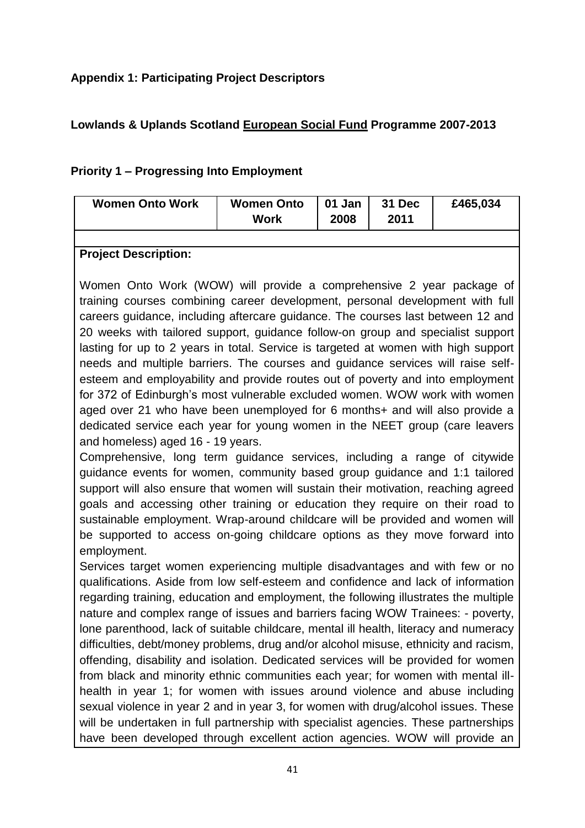# **Appendix 1: Participating Project Descriptors**

# **Lowlands & Uplands Scotland European Social Fund Programme 2007-2013**

# **Priority 1 – Progressing Into Employment**

| <b>Women Onto Work</b> | <b>Women Onto</b><br><b>Work</b> | 01 Jan<br>2008 | 31 Dec<br>2011 | £465,034 |
|------------------------|----------------------------------|----------------|----------------|----------|
|                        |                                  |                |                |          |

#### **Project Description:**

Women Onto Work (WOW) will provide a comprehensive 2 year package of training courses combining career development, personal development with full careers guidance, including aftercare guidance. The courses last between 12 and 20 weeks with tailored support, guidance follow-on group and specialist support lasting for up to 2 years in total. Service is targeted at women with high support needs and multiple barriers. The courses and guidance services will raise selfesteem and employability and provide routes out of poverty and into employment for 372 of Edinburgh's most vulnerable excluded women. WOW work with women aged over 21 who have been unemployed for 6 months+ and will also provide a dedicated service each year for young women in the NEET group (care leavers and homeless) aged 16 - 19 years.

Comprehensive, long term guidance services, including a range of citywide guidance events for women, community based group guidance and 1:1 tailored support will also ensure that women will sustain their motivation, reaching agreed goals and accessing other training or education they require on their road to sustainable employment. Wrap-around childcare will be provided and women will be supported to access on-going childcare options as they move forward into employment.

Services target women experiencing multiple disadvantages and with few or no qualifications. Aside from low self-esteem and confidence and lack of information regarding training, education and employment, the following illustrates the multiple nature and complex range of issues and barriers facing WOW Trainees: - poverty, lone parenthood, lack of suitable childcare, mental ill health, literacy and numeracy difficulties, debt/money problems, drug and/or alcohol misuse, ethnicity and racism, offending, disability and isolation. Dedicated services will be provided for women from black and minority ethnic communities each year; for women with mental illhealth in year 1; for women with issues around violence and abuse including sexual violence in year 2 and in year 3, for women with drug/alcohol issues. These will be undertaken in full partnership with specialist agencies. These partnerships have been developed through excellent action agencies. WOW will provide an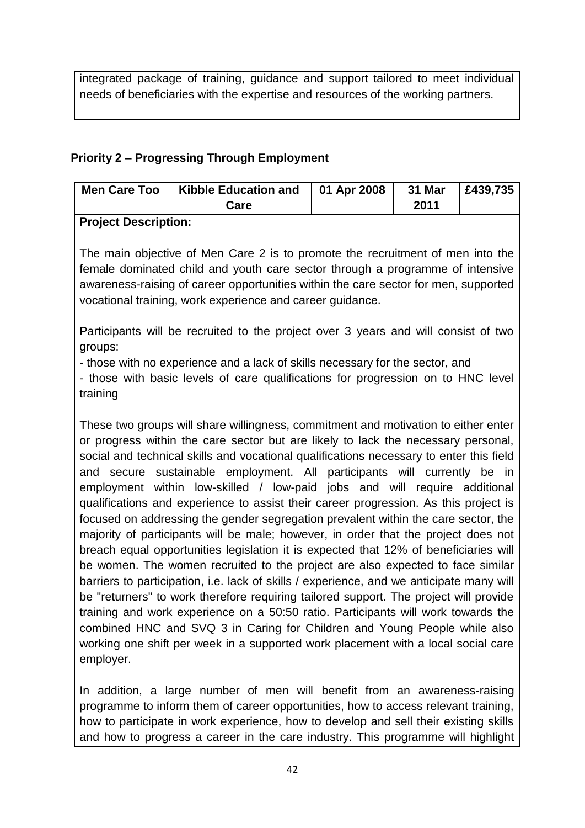integrated package of training, guidance and support tailored to meet individual needs of beneficiaries with the expertise and resources of the working partners.

# **Priority 2 – Progressing Through Employment**

|                      | Men Care Too   Kibble Education and   01 Apr 2008 |  | 31 Mar   £439,735 |  |  |  |  |  |
|----------------------|---------------------------------------------------|--|-------------------|--|--|--|--|--|
|                      | Care                                              |  | 2011              |  |  |  |  |  |
| Busiast Bassalutions |                                                   |  |                   |  |  |  |  |  |

# **Project Description:**

The main objective of Men Care 2 is to promote the recruitment of men into the female dominated child and youth care sector through a programme of intensive awareness-raising of career opportunities within the care sector for men, supported vocational training, work experience and career guidance.

Participants will be recruited to the project over 3 years and will consist of two groups:

- those with no experience and a lack of skills necessary for the sector, and

- those with basic levels of care qualifications for progression on to HNC level training

These two groups will share willingness, commitment and motivation to either enter or progress within the care sector but are likely to lack the necessary personal, social and technical skills and vocational qualifications necessary to enter this field and secure sustainable employment. All participants will currently be in employment within low-skilled / low-paid jobs and will require additional qualifications and experience to assist their career progression. As this project is focused on addressing the gender segregation prevalent within the care sector, the majority of participants will be male; however, in order that the project does not breach equal opportunities legislation it is expected that 12% of beneficiaries will be women. The women recruited to the project are also expected to face similar barriers to participation, i.e. lack of skills / experience, and we anticipate many will be "returners" to work therefore requiring tailored support. The project will provide training and work experience on a 50:50 ratio. Participants will work towards the combined HNC and SVQ 3 in Caring for Children and Young People while also working one shift per week in a supported work placement with a local social care employer.

In addition, a large number of men will benefit from an awareness-raising programme to inform them of career opportunities, how to access relevant training, how to participate in work experience, how to develop and sell their existing skills and how to progress a career in the care industry. This programme will highlight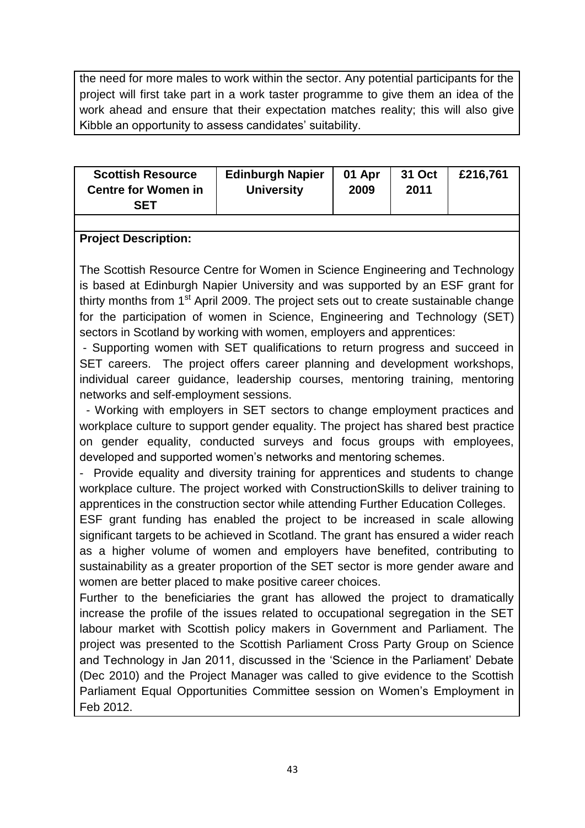the need for more males to work within the sector. Any potential participants for the project will first take part in a work taster programme to give them an idea of the work ahead and ensure that their expectation matches reality; this will also give Kibble an opportunity to assess candidates' suitability.

| <b>Scottish Resource</b>   | <b>Edinburgh Napier</b> | 01 Apr | 31 Oct | £216.761 |
|----------------------------|-------------------------|--------|--------|----------|
| <b>Centre for Women in</b> | <b>University</b>       | 2009   | 2011   |          |
| SFT                        |                         |        |        |          |

#### **Project Description:**

The Scottish Resource Centre for Women in Science Engineering and Technology is based at Edinburgh Napier University and was supported by an ESF grant for thirty months from  $1<sup>st</sup>$  April 2009. The project sets out to create sustainable change for the participation of women in Science, Engineering and Technology (SET) sectors in Scotland by working with women, employers and apprentices:

- Supporting women with SET qualifications to return progress and succeed in SET careers. The project offers career planning and development workshops, individual career guidance, leadership courses, mentoring training, mentoring networks and self-employment sessions.

- Working with employers in SET sectors to change employment practices and workplace culture to support gender equality. The project has shared best practice on gender equality, conducted surveys and focus groups with employees, developed and supported women's networks and mentoring schemes.

- Provide equality and diversity training for apprentices and students to change workplace culture. The project worked with ConstructionSkills to deliver training to apprentices in the construction sector while attending Further Education Colleges.

ESF grant funding has enabled the project to be increased in scale allowing significant targets to be achieved in Scotland. The grant has ensured a wider reach as a higher volume of women and employers have benefited, contributing to sustainability as a greater proportion of the SET sector is more gender aware and women are better placed to make positive career choices.

Further to the beneficiaries the grant has allowed the project to dramatically increase the profile of the issues related to occupational segregation in the SET labour market with Scottish policy makers in Government and Parliament. The project was presented to the Scottish Parliament Cross Party Group on Science and Technology in Jan 2011, discussed in the 'Science in the Parliament' Debate (Dec 2010) and the Project Manager was called to give evidence to the Scottish Parliament Equal Opportunities Committee session on Women's Employment in Feb 2012.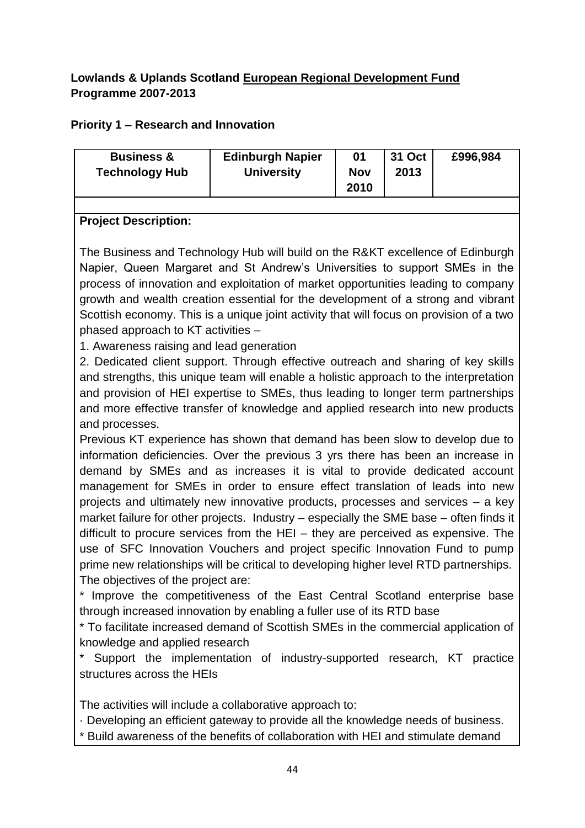# **Lowlands & Uplands Scotland European Regional Development Fund Programme 2007-2013**

# **Priority 1 – Research and Innovation**

| <b>Business &amp;</b><br><b>Technology Hub</b>                                                                                                                                                                                                                                                                                                                                                                                                                                                                     | <b>Edinburgh Napier</b><br><b>University</b> | 01<br><b>Nov</b><br>2010 | <b>31 Oct</b><br>2013 | £996,984 |
|--------------------------------------------------------------------------------------------------------------------------------------------------------------------------------------------------------------------------------------------------------------------------------------------------------------------------------------------------------------------------------------------------------------------------------------------------------------------------------------------------------------------|----------------------------------------------|--------------------------|-----------------------|----------|
|                                                                                                                                                                                                                                                                                                                                                                                                                                                                                                                    |                                              |                          |                       |          |
| <b>Project Description:</b>                                                                                                                                                                                                                                                                                                                                                                                                                                                                                        |                                              |                          |                       |          |
| The Business and Technology Hub will build on the R&KT excellence of Edinburgh<br>Napier, Queen Margaret and St Andrew's Universities to support SMEs in the<br>process of innovation and exploitation of market opportunities leading to company<br>growth and wealth creation essential for the development of a strong and vibrant<br>Scottish economy. This is a unique joint activity that will focus on provision of a two<br>phased approach to KT activities -<br>1. Awareness raising and lead generation |                                              |                          |                       |          |

2. Dedicated client support. Through effective outreach and sharing of key skills and strengths, this unique team will enable a holistic approach to the interpretation and provision of HEI expertise to SMEs, thus leading to longer term partnerships and more effective transfer of knowledge and applied research into new products and processes.

Previous KT experience has shown that demand has been slow to develop due to information deficiencies. Over the previous 3 yrs there has been an increase in demand by SMEs and as increases it is vital to provide dedicated account management for SMEs in order to ensure effect translation of leads into new projects and ultimately new innovative products, processes and services – a key market failure for other projects. Industry – especially the SME base – often finds it difficult to procure services from the HEI – they are perceived as expensive. The use of SFC Innovation Vouchers and project specific Innovation Fund to pump prime new relationships will be critical to developing higher level RTD partnerships. The objectives of the project are:

\* Improve the competitiveness of the East Central Scotland enterprise base through increased innovation by enabling a fuller use of its RTD base

\* To facilitate increased demand of Scottish SMEs in the commercial application of knowledge and applied research

\* Support the implementation of industry-supported research, KT practice structures across the HEIs

The activities will include a collaborative approach to:

· Developing an efficient gateway to provide all the knowledge needs of business.

\* Build awareness of the benefits of collaboration with HEI and stimulate demand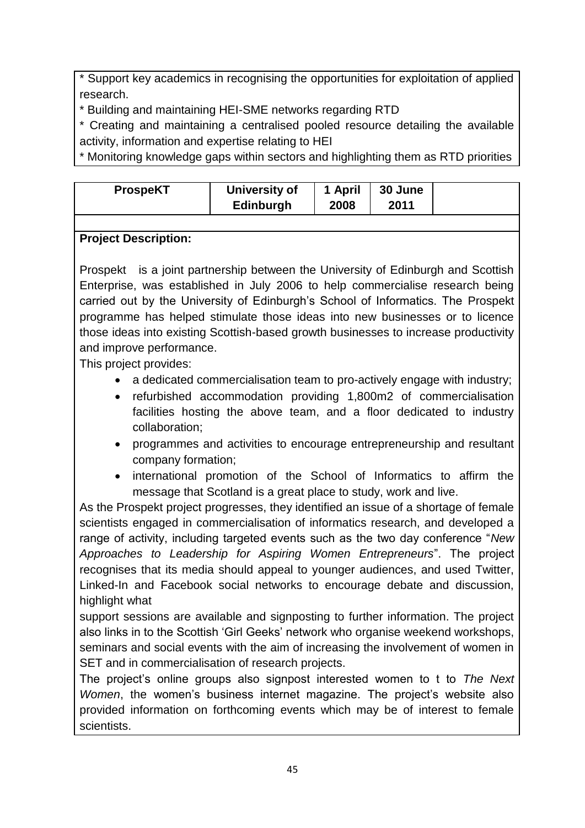\* Support key academics in recognising the opportunities for exploitation of applied research.

\* Building and maintaining HEI-SME networks regarding RTD

\* Creating and maintaining a centralised pooled resource detailing the available activity, information and expertise relating to HEI

\* Monitoring knowledge gaps within sectors and highlighting them as RTD priorities

| <b>ProspeKT</b> | University of | 1 April | <b>30 June</b> |  |
|-----------------|---------------|---------|----------------|--|
|                 | Edinburgh     | 2008    | 2011           |  |

### **Project Description:**

Prospekt is a joint partnership between the University of Edinburgh and Scottish Enterprise, was established in July 2006 to help commercialise research being carried out by the University of Edinburgh's School of Informatics. The Prospekt programme has helped stimulate those ideas into new businesses or to licence those ideas into existing Scottish-based growth businesses to increase productivity and improve performance.

This project provides:

- a dedicated commercialisation team to pro-actively engage with industry;
- refurbished accommodation providing 1,800m2 of commercialisation facilities hosting the above team, and a floor dedicated to industry collaboration;
- programmes and activities to encourage entrepreneurship and resultant company formation;
- international promotion of the School of Informatics to affirm the message that Scotland is a great place to study, work and live.

As the Prospekt project progresses, they identified an issue of a shortage of female scientists engaged in commercialisation of informatics research, and developed a range of activity, including targeted events such as the two day conference "*New Approaches to Leadership for Aspiring Women Entrepreneurs*". The project recognises that its media should appeal to younger audiences, and used Twitter, Linked-In and Facebook social networks to encourage debate and discussion, highlight what

support sessions are available and signposting to further information. The project also links in to the Scottish 'Girl Geeks' network who organise weekend workshops, seminars and social events with the aim of increasing the involvement of women in SET and in commercialisation of research projects.

The project's online groups also signpost interested women to t to *The Next Women*, the women's business internet magazine. The project's website also provided information on forthcoming events which may be of interest to female scientists.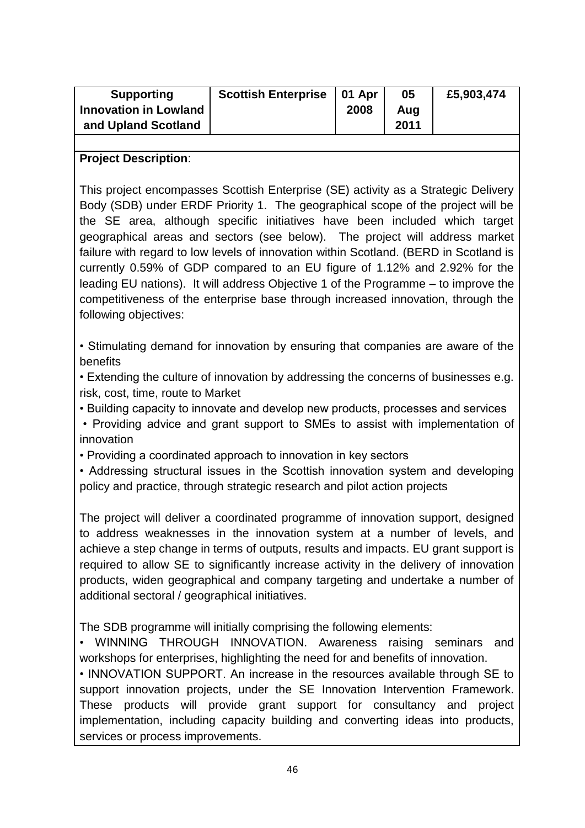| <b>Supporting</b>            | <b>Scottish Enterprise</b> | 01 Apr | 05   | £5,903,474 |
|------------------------------|----------------------------|--------|------|------------|
| <b>Innovation in Lowland</b> |                            | 2008   | Aug  |            |
| and Upland Scotland          |                            |        | 2011 |            |
|                              |                            |        |      |            |

#### **Project Description**:

This project encompasses Scottish Enterprise (SE) activity as a Strategic Delivery Body (SDB) under ERDF Priority 1. The geographical scope of the project will be the SE area, although specific initiatives have been included which target geographical areas and sectors (see below). The project will address market failure with regard to low levels of innovation within Scotland. (BERD in Scotland is currently 0.59% of GDP compared to an EU figure of 1.12% and 2.92% for the leading EU nations). It will address Objective 1 of the Programme – to improve the competitiveness of the enterprise base through increased innovation, through the following objectives:

• Stimulating demand for innovation by ensuring that companies are aware of the **benefits** 

• Extending the culture of innovation by addressing the concerns of businesses e.g. risk, cost, time, route to Market

• Building capacity to innovate and develop new products, processes and services

• Providing advice and grant support to SMEs to assist with implementation of innovation

• Providing a coordinated approach to innovation in key sectors

• Addressing structural issues in the Scottish innovation system and developing policy and practice, through strategic research and pilot action projects

The project will deliver a coordinated programme of innovation support, designed to address weaknesses in the innovation system at a number of levels, and achieve a step change in terms of outputs, results and impacts. EU grant support is required to allow SE to significantly increase activity in the delivery of innovation products, widen geographical and company targeting and undertake a number of additional sectoral / geographical initiatives.

The SDB programme will initially comprising the following elements:

• WINNING THROUGH INNOVATION. Awareness raising seminars and workshops for enterprises, highlighting the need for and benefits of innovation.

• INNOVATION SUPPORT. An increase in the resources available through SE to support innovation projects, under the SE Innovation Intervention Framework. These products will provide grant support for consultancy and project implementation, including capacity building and converting ideas into products, services or process improvements.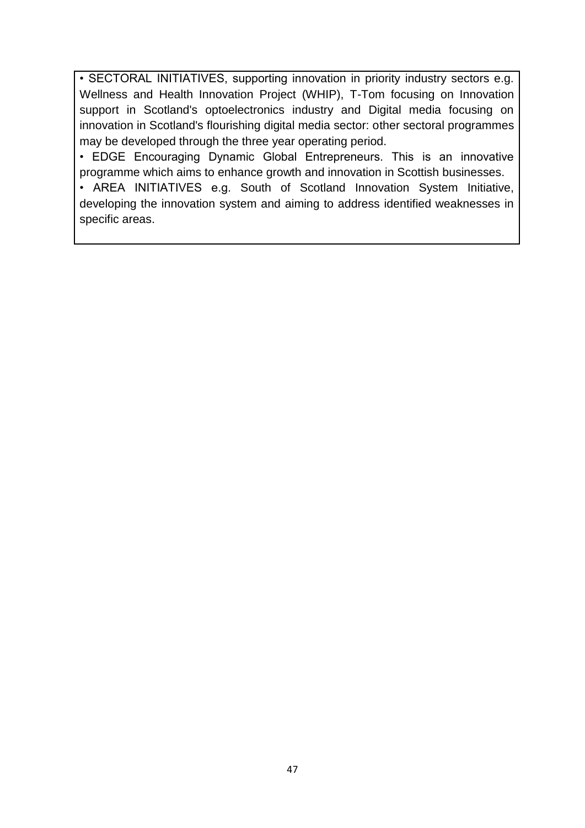• SECTORAL INITIATIVES, supporting innovation in priority industry sectors e.g. Wellness and Health Innovation Project (WHIP), T-Tom focusing on Innovation support in Scotland's optoelectronics industry and Digital media focusing on innovation in Scotland's flourishing digital media sector: other sectoral programmes may be developed through the three year operating period.

• EDGE Encouraging Dynamic Global Entrepreneurs. This is an innovative programme which aims to enhance growth and innovation in Scottish businesses.

• AREA INITIATIVES e.g. South of Scotland Innovation System Initiative, developing the innovation system and aiming to address identified weaknesses in specific areas.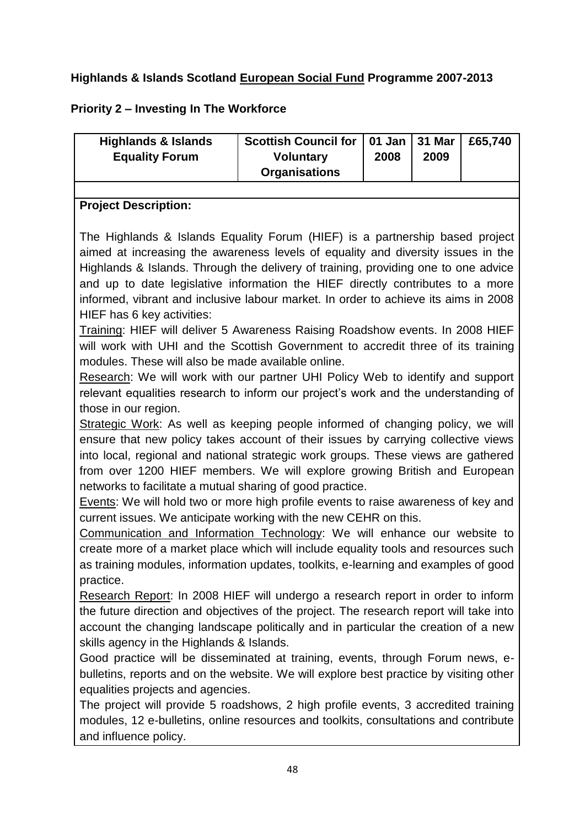# **Highlands & Islands Scotland European Social Fund Programme 2007-2013**

# **Priority 2 – Investing In The Workforce**

| Scottish Council for   01 Jan   31 Mar  <br>£65.740<br><b>Highlands &amp; Islands</b><br><b>Voluntary</b><br>2009<br>2008<br><b>Equality Forum</b><br><b>Organisations</b> |
|----------------------------------------------------------------------------------------------------------------------------------------------------------------------------|
|----------------------------------------------------------------------------------------------------------------------------------------------------------------------------|

#### **Project Description:**

The Highlands & Islands Equality Forum (HIEF) is a partnership based project aimed at increasing the awareness levels of equality and diversity issues in the Highlands & Islands. Through the delivery of training, providing one to one advice and up to date legislative information the HIEF directly contributes to a more informed, vibrant and inclusive labour market. In order to achieve its aims in 2008 HIEF has 6 key activities:

Training: HIEF will deliver 5 Awareness Raising Roadshow events. In 2008 HIEF will work with UHI and the Scottish Government to accredit three of its training modules. These will also be made available online.

Research: We will work with our partner UHI Policy Web to identify and support relevant equalities research to inform our project's work and the understanding of those in our region.

Strategic Work: As well as keeping people informed of changing policy, we will ensure that new policy takes account of their issues by carrying collective views into local, regional and national strategic work groups. These views are gathered from over 1200 HIEF members. We will explore growing British and European networks to facilitate a mutual sharing of good practice.

Events: We will hold two or more high profile events to raise awareness of key and current issues. We anticipate working with the new CEHR on this.

Communication and Information Technology: We will enhance our website to create more of a market place which will include equality tools and resources such as training modules, information updates, toolkits, e-learning and examples of good practice.

Research Report: In 2008 HIEF will undergo a research report in order to inform the future direction and objectives of the project. The research report will take into account the changing landscape politically and in particular the creation of a new skills agency in the Highlands & Islands.

Good practice will be disseminated at training, events, through Forum news, ebulletins, reports and on the website. We will explore best practice by visiting other equalities projects and agencies.

The project will provide 5 roadshows, 2 high profile events, 3 accredited training modules, 12 e-bulletins, online resources and toolkits, consultations and contribute and influence policy.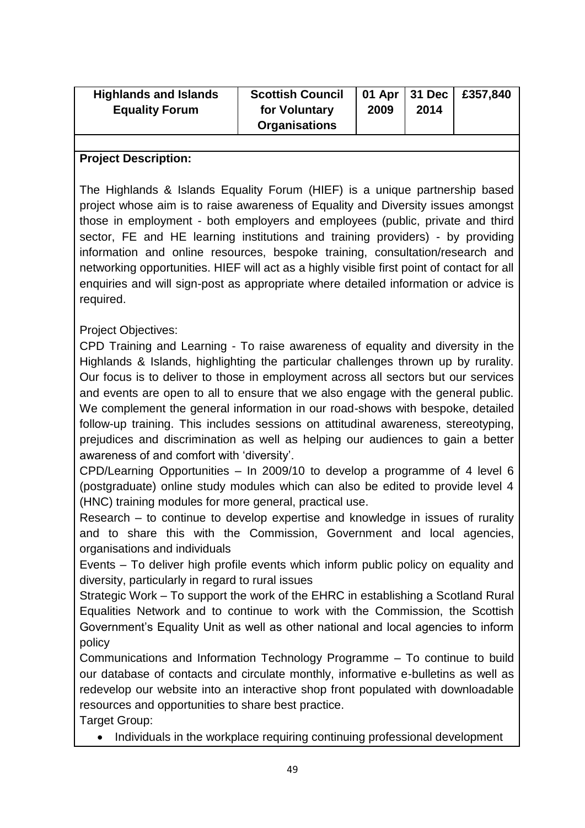| <b>Highlands and Islands</b><br><b>Equality Forum</b> | <b>Scottish Council</b><br>for Voluntary | 2009 | 2014 | 01 Apr   31 Dec   £357,840 |
|-------------------------------------------------------|------------------------------------------|------|------|----------------------------|
|                                                       | <b>Organisations</b>                     |      |      |                            |

#### **Project Description:**

The Highlands & Islands Equality Forum (HIEF) is a unique partnership based project whose aim is to raise awareness of Equality and Diversity issues amongst those in employment - both employers and employees (public, private and third sector, FE and HE learning institutions and training providers) - by providing information and online resources, bespoke training, consultation/research and networking opportunities. HIEF will act as a highly visible first point of contact for all enquiries and will sign-post as appropriate where detailed information or advice is required.

#### Project Objectives:

CPD Training and Learning - To raise awareness of equality and diversity in the Highlands & Islands, highlighting the particular challenges thrown up by rurality. Our focus is to deliver to those in employment across all sectors but our services and events are open to all to ensure that we also engage with the general public. We complement the general information in our road-shows with bespoke, detailed follow-up training. This includes sessions on attitudinal awareness, stereotyping, prejudices and discrimination as well as helping our audiences to gain a better awareness of and comfort with 'diversity'.

CPD/Learning Opportunities – In 2009/10 to develop a programme of 4 level 6 (postgraduate) online study modules which can also be edited to provide level 4 (HNC) training modules for more general, practical use.

Research – to continue to develop expertise and knowledge in issues of rurality and to share this with the Commission, Government and local agencies, organisations and individuals

Events – To deliver high profile events which inform public policy on equality and diversity, particularly in regard to rural issues

Strategic Work – To support the work of the EHRC in establishing a Scotland Rural Equalities Network and to continue to work with the Commission, the Scottish Government's Equality Unit as well as other national and local agencies to inform policy

Communications and Information Technology Programme – To continue to build our database of contacts and circulate monthly, informative e-bulletins as well as redevelop our website into an interactive shop front populated with downloadable resources and opportunities to share best practice.

Target Group:

• Individuals in the workplace requiring continuing professional development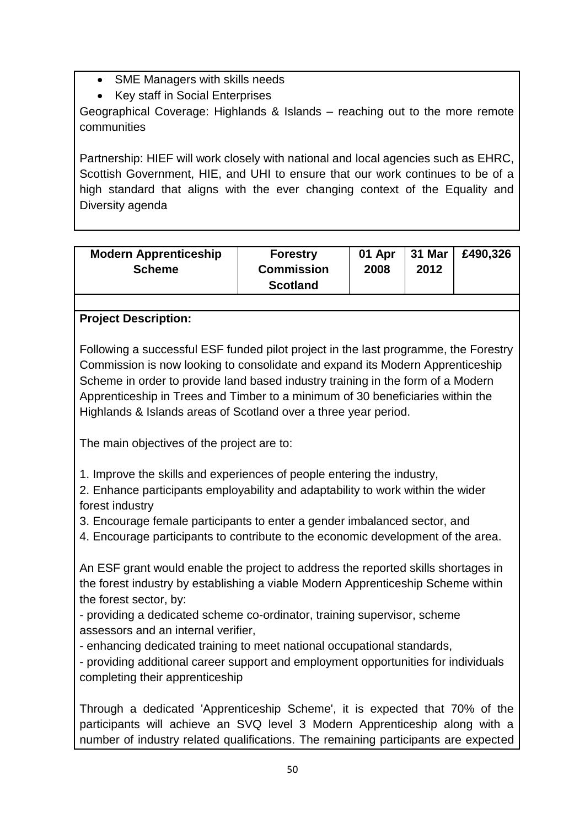- SME Managers with skills needs
- Key staff in Social Enterprises

Geographical Coverage: Highlands & Islands – reaching out to the more remote communities

Partnership: HIEF will work closely with national and local agencies such as EHRC, Scottish Government, HIE, and UHI to ensure that our work continues to be of a high standard that aligns with the ever changing context of the Equality and Diversity agenda

| <b>Modern Apprenticeship</b><br><b>Scheme</b> | <b>Forestry</b><br><b>Commission</b><br><b>Scotland</b> | 01 Apr<br>2008 | 31 Mar<br>2012 | £490,326 |
|-----------------------------------------------|---------------------------------------------------------|----------------|----------------|----------|
|-----------------------------------------------|---------------------------------------------------------|----------------|----------------|----------|

# **Project Description:**

Following a successful ESF funded pilot project in the last programme, the Forestry Commission is now looking to consolidate and expand its Modern Apprenticeship Scheme in order to provide land based industry training in the form of a Modern Apprenticeship in Trees and Timber to a minimum of 30 beneficiaries within the Highlands & Islands areas of Scotland over a three year period.

The main objectives of the project are to:

1. Improve the skills and experiences of people entering the industry,

2. Enhance participants employability and adaptability to work within the wider forest industry

3. Encourage female participants to enter a gender imbalanced sector, and

4. Encourage participants to contribute to the economic development of the area.

An ESF grant would enable the project to address the reported skills shortages in the forest industry by establishing a viable Modern Apprenticeship Scheme within the forest sector, by:

- providing a dedicated scheme co-ordinator, training supervisor, scheme assessors and an internal verifier,

- enhancing dedicated training to meet national occupational standards,

- providing additional career support and employment opportunities for individuals completing their apprenticeship

Through a dedicated 'Apprenticeship Scheme', it is expected that 70% of the participants will achieve an SVQ level 3 Modern Apprenticeship along with a number of industry related qualifications. The remaining participants are expected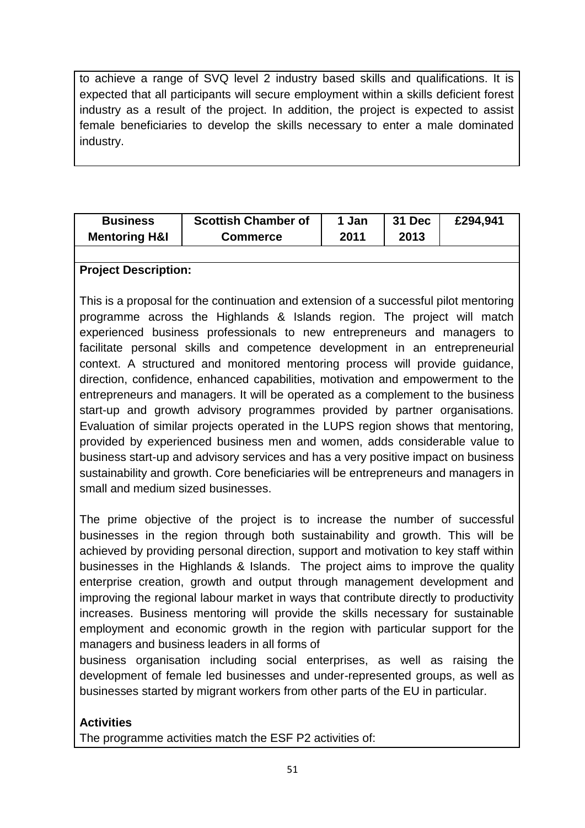to achieve a range of SVQ level 2 industry based skills and qualifications. It is expected that all participants will secure employment within a skills deficient forest industry as a result of the project. In addition, the project is expected to assist female beneficiaries to develop the skills necessary to enter a male dominated industry.

| <b>Business</b>          | <b>Scottish Chamber of</b> | 1 Jan | 31 Dec | £294,941 |
|--------------------------|----------------------------|-------|--------|----------|
| <b>Mentoring H&amp;I</b> | <b>Commerce</b>            | 2011  | 2013   |          |

#### **Project Description:**

This is a proposal for the continuation and extension of a successful pilot mentoring programme across the Highlands & Islands region. The project will match experienced business professionals to new entrepreneurs and managers to facilitate personal skills and competence development in an entrepreneurial context. A structured and monitored mentoring process will provide guidance, direction, confidence, enhanced capabilities, motivation and empowerment to the entrepreneurs and managers. It will be operated as a complement to the business start-up and growth advisory programmes provided by partner organisations. Evaluation of similar projects operated in the LUPS region shows that mentoring, provided by experienced business men and women, adds considerable value to business start-up and advisory services and has a very positive impact on business sustainability and growth. Core beneficiaries will be entrepreneurs and managers in small and medium sized businesses.

The prime objective of the project is to increase the number of successful businesses in the region through both sustainability and growth. This will be achieved by providing personal direction, support and motivation to key staff within businesses in the Highlands & Islands. The project aims to improve the quality enterprise creation, growth and output through management development and improving the regional labour market in ways that contribute directly to productivity increases. Business mentoring will provide the skills necessary for sustainable employment and economic growth in the region with particular support for the managers and business leaders in all forms of

business organisation including social enterprises, as well as raising the development of female led businesses and under-represented groups, as well as businesses started by migrant workers from other parts of the EU in particular.

#### **Activities**

The programme activities match the ESF P2 activities of: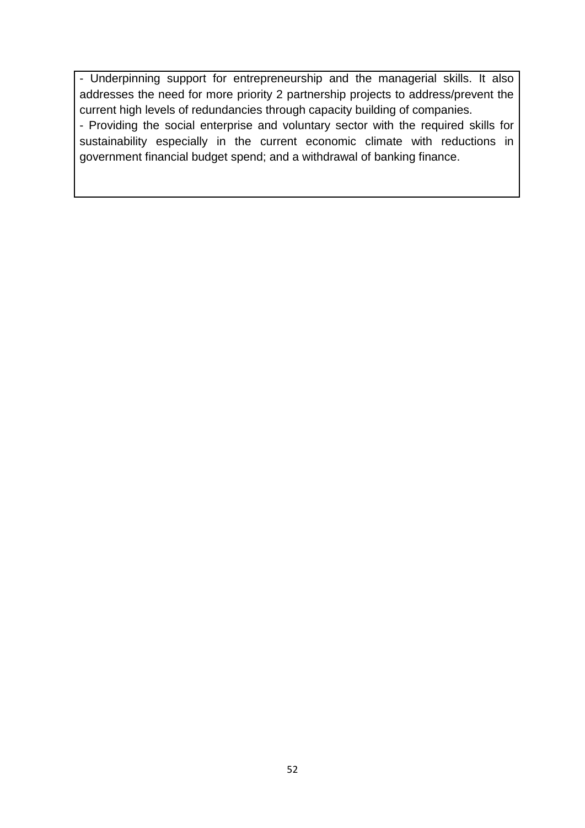- Underpinning support for entrepreneurship and the managerial skills. It also addresses the need for more priority 2 partnership projects to address/prevent the current high levels of redundancies through capacity building of companies.

- Providing the social enterprise and voluntary sector with the required skills for sustainability especially in the current economic climate with reductions in government financial budget spend; and a withdrawal of banking finance.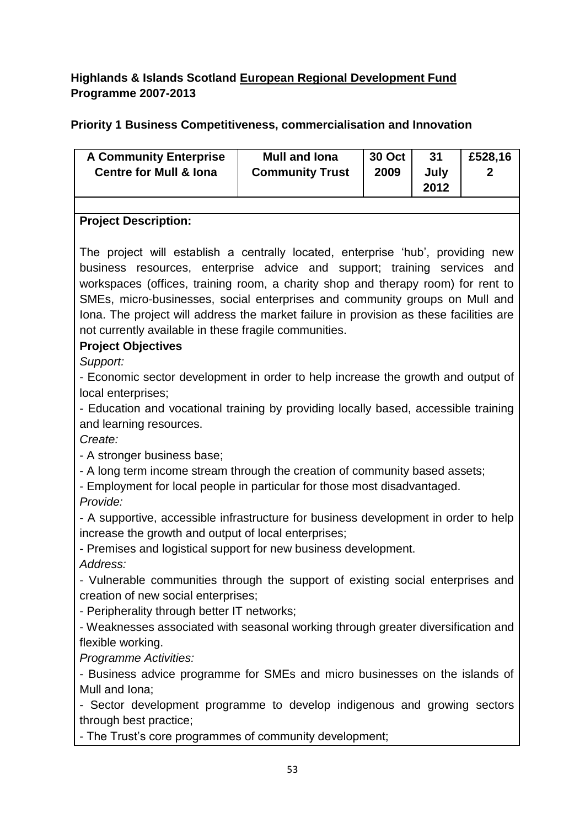# **Highlands & Islands Scotland European Regional Development Fund Programme 2007-2013**

# **Priority 1 Business Competitiveness, commercialisation and Innovation**

| <b>A Community Enterprise</b><br><b>Centre for Mull &amp; Iona</b>                                                                                                                                                                                                                                                                                                                                                                                                                                             | <b>Mull and lona</b><br><b>Community Trust</b> | <b>30 Oct</b><br>2009 | 31<br>July<br>2012 | £528,16<br>2 |  |
|----------------------------------------------------------------------------------------------------------------------------------------------------------------------------------------------------------------------------------------------------------------------------------------------------------------------------------------------------------------------------------------------------------------------------------------------------------------------------------------------------------------|------------------------------------------------|-----------------------|--------------------|--------------|--|
|                                                                                                                                                                                                                                                                                                                                                                                                                                                                                                                |                                                |                       |                    |              |  |
| <b>Project Description:</b>                                                                                                                                                                                                                                                                                                                                                                                                                                                                                    |                                                |                       |                    |              |  |
| The project will establish a centrally located, enterprise 'hub', providing new<br>business resources, enterprise advice and support; training services and<br>workspaces (offices, training room, a charity shop and therapy room) for rent to<br>SMEs, micro-businesses, social enterprises and community groups on Mull and<br>Iona. The project will address the market failure in provision as these facilities are<br>not currently available in these fragile communities.<br><b>Project Objectives</b> |                                                |                       |                    |              |  |
| Support:                                                                                                                                                                                                                                                                                                                                                                                                                                                                                                       |                                                |                       |                    |              |  |
| - Economic sector development in order to help increase the growth and output of                                                                                                                                                                                                                                                                                                                                                                                                                               |                                                |                       |                    |              |  |
| local enterprises;                                                                                                                                                                                                                                                                                                                                                                                                                                                                                             |                                                |                       |                    |              |  |
| - Education and vocational training by providing locally based, accessible training                                                                                                                                                                                                                                                                                                                                                                                                                            |                                                |                       |                    |              |  |
| and learning resources.                                                                                                                                                                                                                                                                                                                                                                                                                                                                                        |                                                |                       |                    |              |  |
| Create:                                                                                                                                                                                                                                                                                                                                                                                                                                                                                                        |                                                |                       |                    |              |  |
| - A stronger business base;                                                                                                                                                                                                                                                                                                                                                                                                                                                                                    |                                                |                       |                    |              |  |
| - A long term income stream through the creation of community based assets;                                                                                                                                                                                                                                                                                                                                                                                                                                    |                                                |                       |                    |              |  |
| - Employment for local people in particular for those most disadvantaged.                                                                                                                                                                                                                                                                                                                                                                                                                                      |                                                |                       |                    |              |  |
| Provide:                                                                                                                                                                                                                                                                                                                                                                                                                                                                                                       |                                                |                       |                    |              |  |
| - A supportive, accessible infrastructure for business development in order to help                                                                                                                                                                                                                                                                                                                                                                                                                            |                                                |                       |                    |              |  |
| increase the growth and output of local enterprises;                                                                                                                                                                                                                                                                                                                                                                                                                                                           |                                                |                       |                    |              |  |
| - Premises and logistical support for new business development.<br>Address:                                                                                                                                                                                                                                                                                                                                                                                                                                    |                                                |                       |                    |              |  |
|                                                                                                                                                                                                                                                                                                                                                                                                                                                                                                                |                                                |                       |                    |              |  |
| - Vulnerable communities through the support of existing social enterprises and<br>creation of new social enterprises;                                                                                                                                                                                                                                                                                                                                                                                         |                                                |                       |                    |              |  |
| - Peripherality through better IT networks;                                                                                                                                                                                                                                                                                                                                                                                                                                                                    |                                                |                       |                    |              |  |
| - Weaknesses associated with seasonal working through greater diversification and                                                                                                                                                                                                                                                                                                                                                                                                                              |                                                |                       |                    |              |  |
| flexible working.                                                                                                                                                                                                                                                                                                                                                                                                                                                                                              |                                                |                       |                    |              |  |
| Programme Activities:                                                                                                                                                                                                                                                                                                                                                                                                                                                                                          |                                                |                       |                    |              |  |
| - Business advice programme for SMEs and micro businesses on the islands of                                                                                                                                                                                                                                                                                                                                                                                                                                    |                                                |                       |                    |              |  |
| Mull and Iona;                                                                                                                                                                                                                                                                                                                                                                                                                                                                                                 |                                                |                       |                    |              |  |
| - Sector development programme to develop indigenous and growing sectors                                                                                                                                                                                                                                                                                                                                                                                                                                       |                                                |                       |                    |              |  |
| through best practice;                                                                                                                                                                                                                                                                                                                                                                                                                                                                                         |                                                |                       |                    |              |  |
| - The Trust's core programmes of community development;                                                                                                                                                                                                                                                                                                                                                                                                                                                        |                                                |                       |                    |              |  |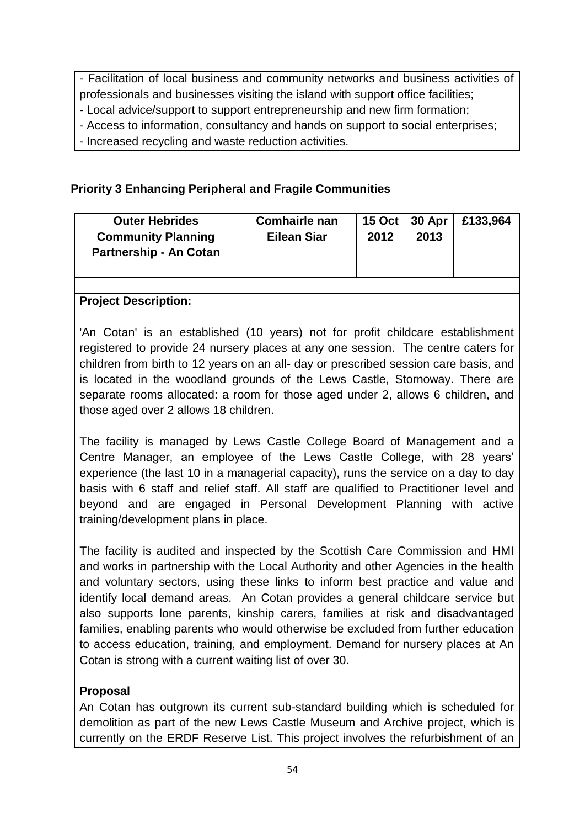- Facilitation of local business and community networks and business activities of professionals and businesses visiting the island with support office facilities;

- Local advice/support to support entrepreneurship and new firm formation;

- Access to information, consultancy and hands on support to social enterprises;

- Increased recycling and waste reduction activities.

# **Priority 3 Enhancing Peripheral and Fragile Communities**

| <b>Outer Hebrides</b><br><b>Community Planning</b><br><b>Partnership - An Cotan</b> | <b>Comhairle nan</b><br><b>Eilean Siar</b> | 2012 | 15 Oct   30 Apr<br>2013 | £133,964 |
|-------------------------------------------------------------------------------------|--------------------------------------------|------|-------------------------|----------|
|                                                                                     |                                            |      |                         |          |

#### **Project Description:**

'An Cotan' is an established (10 years) not for profit childcare establishment registered to provide 24 nursery places at any one session. The centre caters for children from birth to 12 years on an all- day or prescribed session care basis, and is located in the woodland grounds of the Lews Castle, Stornoway. There are separate rooms allocated: a room for those aged under 2, allows 6 children, and those aged over 2 allows 18 children.

The facility is managed by Lews Castle College Board of Management and a Centre Manager, an employee of the Lews Castle College, with 28 years' experience (the last 10 in a managerial capacity), runs the service on a day to day basis with 6 staff and relief staff. All staff are qualified to Practitioner level and beyond and are engaged in Personal Development Planning with active training/development plans in place.

The facility is audited and inspected by the Scottish Care Commission and HMI and works in partnership with the Local Authority and other Agencies in the health and voluntary sectors, using these links to inform best practice and value and identify local demand areas. An Cotan provides a general childcare service but also supports lone parents, kinship carers, families at risk and disadvantaged families, enabling parents who would otherwise be excluded from further education to access education, training, and employment. Demand for nursery places at An Cotan is strong with a current waiting list of over 30.

#### **Proposal**

An Cotan has outgrown its current sub-standard building which is scheduled for demolition as part of the new Lews Castle Museum and Archive project, which is currently on the ERDF Reserve List. This project involves the refurbishment of an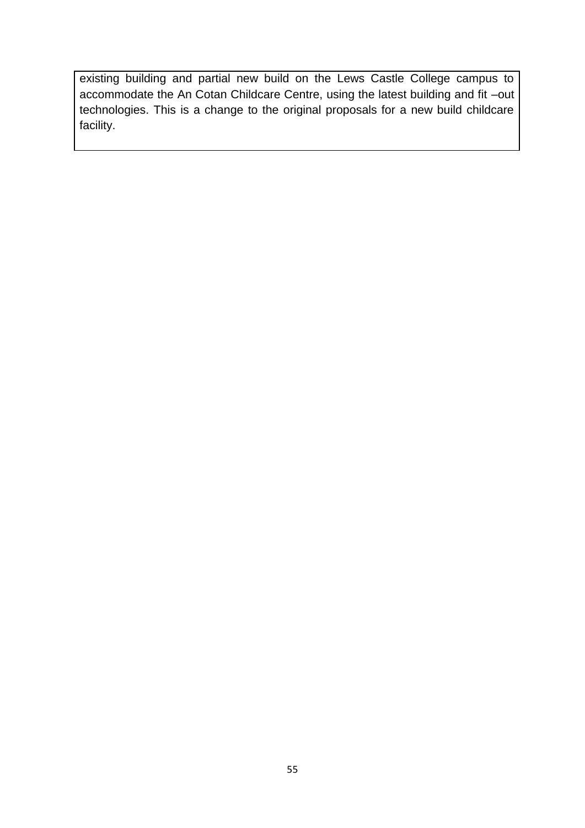existing building and partial new build on the Lews Castle College campus to accommodate the An Cotan Childcare Centre, using the latest building and fit –out technologies. This is a change to the original proposals for a new build childcare facility.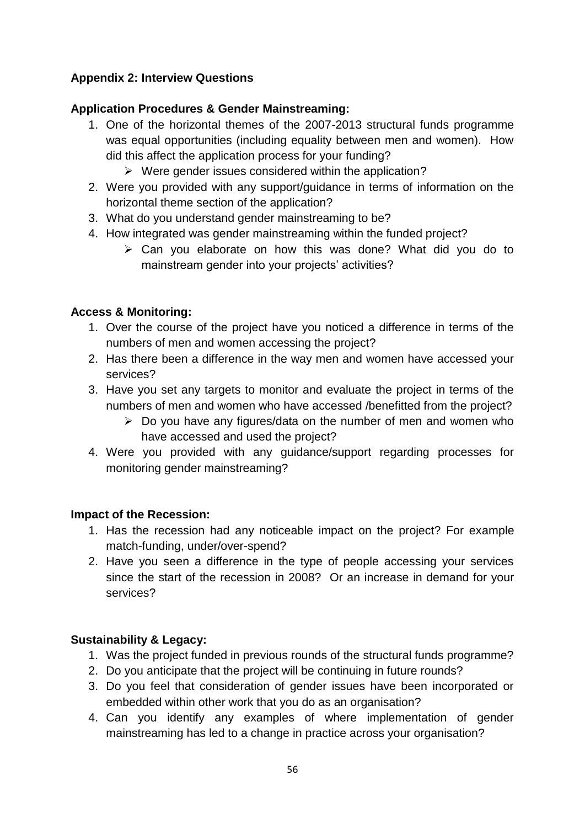# **Appendix 2: Interview Questions**

# **Application Procedures & Gender Mainstreaming:**

- 1. One of the horizontal themes of the 2007-2013 structural funds programme was equal opportunities (including equality between men and women). How did this affect the application process for your funding?
	- $\triangleright$  Were gender issues considered within the application?
- 2. Were you provided with any support/guidance in terms of information on the horizontal theme section of the application?
- 3. What do you understand gender mainstreaming to be?
- 4. How integrated was gender mainstreaming within the funded project?
	- $\triangleright$  Can you elaborate on how this was done? What did you do to mainstream gender into your projects' activities?

#### **Access & Monitoring:**

- 1. Over the course of the project have you noticed a difference in terms of the numbers of men and women accessing the project?
- 2. Has there been a difference in the way men and women have accessed your services?
- 3. Have you set any targets to monitor and evaluate the project in terms of the numbers of men and women who have accessed /benefitted from the project?
	- $\triangleright$  Do you have any figures/data on the number of men and women who have accessed and used the project?
- 4. Were you provided with any guidance/support regarding processes for monitoring gender mainstreaming?

#### **Impact of the Recession:**

- 1. Has the recession had any noticeable impact on the project? For example match-funding, under/over-spend?
- 2. Have you seen a difference in the type of people accessing your services since the start of the recession in 2008? Or an increase in demand for your services?

# **Sustainability & Legacy:**

- 1. Was the project funded in previous rounds of the structural funds programme?
- 2. Do you anticipate that the project will be continuing in future rounds?
- 3. Do you feel that consideration of gender issues have been incorporated or embedded within other work that you do as an organisation?
- 4. Can you identify any examples of where implementation of gender mainstreaming has led to a change in practice across your organisation?